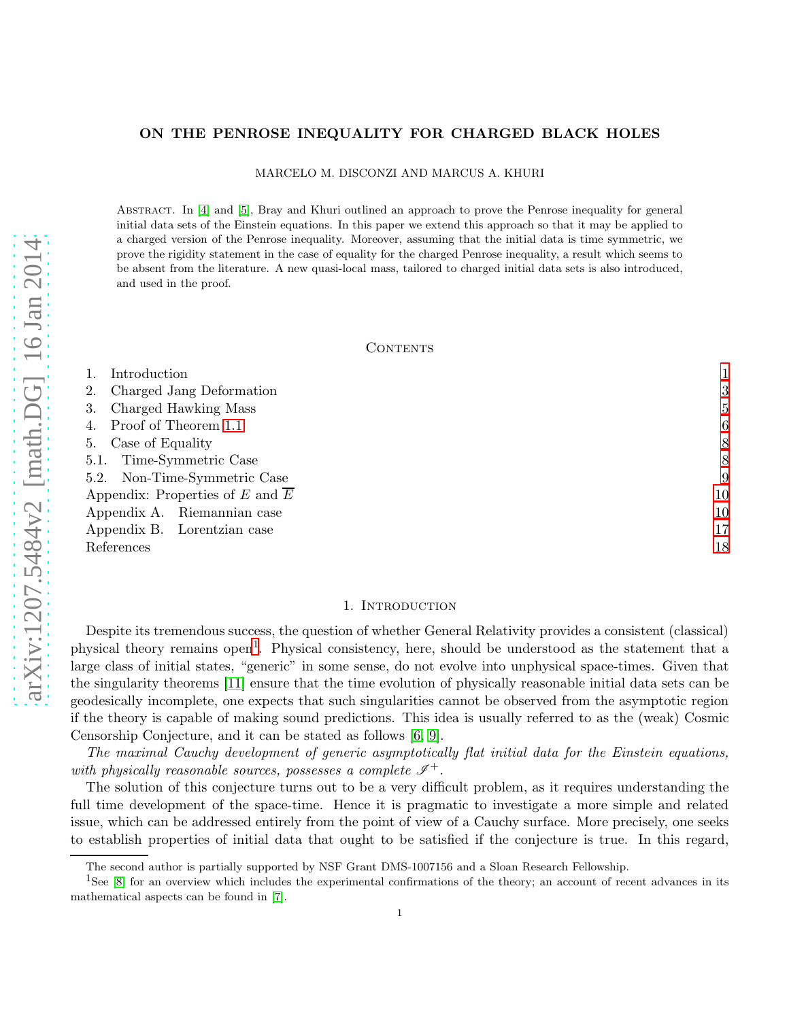# ON THE PENROSE INEQUALITY FOR CHARGED BLACK HOLES

MARCELO M. DISCONZI AND MARCUS A. KHURI

ABSTRACT. In [\[4\]](#page-17-0) and [\[5\]](#page-18-0), Bray and Khuri outlined an approach to prove the Penrose inequality for general initial data sets of the Einstein equations. In this paper we extend this approach so that it may be applied to a charged version of the Penrose inequality. Moreover, assuming that the initial data is time symmetric, we prove the rigidity statement in the case of equality for the charged Penrose inequality, a result which seems to be absent from the literature. A new quasi-local mass, tailored to charged initial data sets is also introduced, and used in the proof.

## CONTENTS

| Introduction                                 |    |
|----------------------------------------------|----|
| Charged Jang Deformation                     | 3  |
| Charged Hawking Mass                         | 5  |
| Proof of Theorem 1.1                         | 6  |
| 5. Case of Equality                          | 8  |
| 5.1. Time-Symmetric Case                     | 8  |
| 5.2. Non-Time-Symmetric Case                 | 9  |
| Appendix: Properties of E and $\overline{E}$ | 10 |
| Appendix A. Riemannian case                  | 10 |
| Appendix B. Lorentzian case                  | 17 |
| References                                   | 18 |

## 1. Introduction

<span id="page-0-0"></span>Despite its tremendous success, the question of whether General Relativity provides a consistent (classical) physical theory remains open<sup>[1](#page-0-1)</sup>. Physical consistency, here, should be understood as the statement that a large class of initial states, "generic" in some sense, do not evolve into unphysical space-times. Given that the singularity theorems [\[11\]](#page-18-1) ensure that the time evolution of physically reasonable initial data sets can be geodesically incomplete, one expects that such singularities cannot be observed from the asymptotic region if the theory is capable of making sound predictions. This idea is usually referred to as the (weak) Cosmic Censorship Conjecture, and it can be stated as follows [\[6,](#page-18-2) [9\]](#page-18-3).

The maximal Cauchy development of generic asymptotically flat initial data for the Einstein equations, with physically reasonable sources, possesses a complete  $\mathscr{I}^+$ .

The solution of this conjecture turns out to be a very difficult problem, as it requires understanding the full time development of the space-time. Hence it is pragmatic to investigate a more simple and related issue, which can be addressed entirely from the point of view of a Cauchy surface. More precisely, one seeks to establish properties of initial data that ought to be satisfied if the conjecture is true. In this regard,

The second author is partially supported by NSF Grant DMS-1007156 and a Sloan Research Fellowship.

<span id="page-0-1"></span> ${}^{1}$ See [\[8\]](#page-18-4) for an overview which includes the experimental confirmations of the theory; an account of recent advances in its mathematical aspects can be found in [\[7\]](#page-18-5).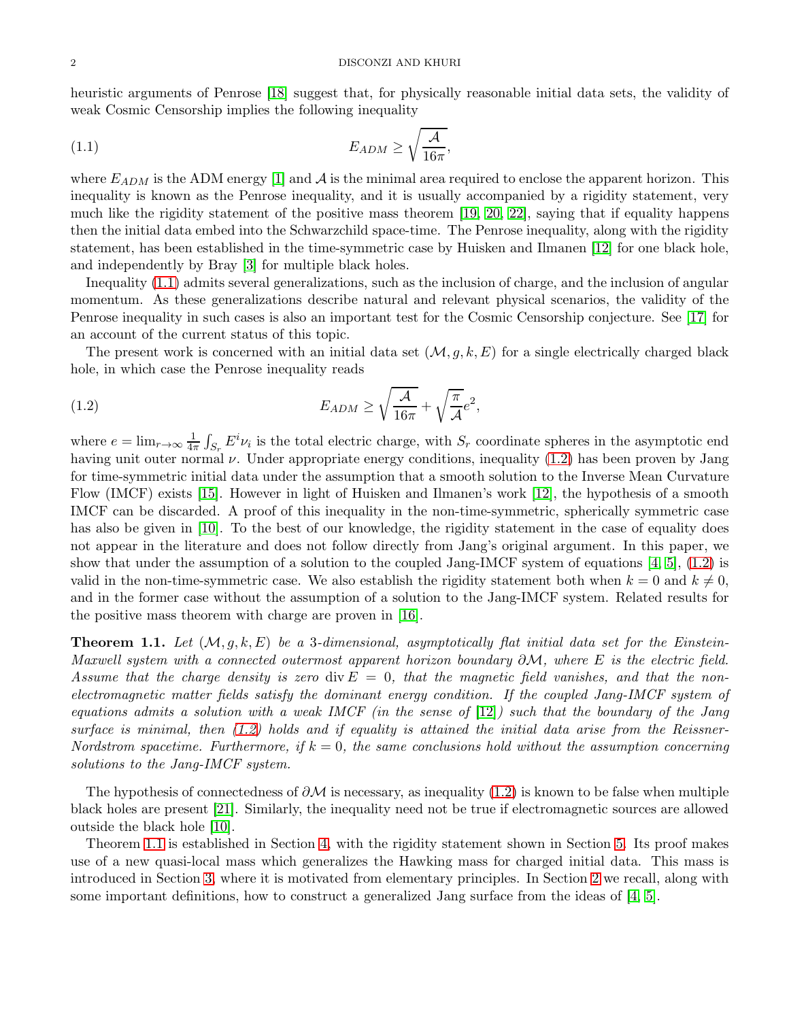#### 2 DISCONZI AND KHURI

heuristic arguments of Penrose [\[18\]](#page-18-6) suggest that, for physically reasonable initial data sets, the validity of weak Cosmic Censorship implies the following inequality

<span id="page-1-1"></span>
$$
E_{ADM} \ge \sqrt{\frac{\mathcal{A}}{16\pi}},
$$

where  $E_{ADM}$  is the ADM energy [\[1\]](#page-17-2) and  $A$  is the minimal area required to enclose the apparent horizon. This inequality is known as the Penrose inequality, and it is usually accompanied by a rigidity statement, very much like the rigidity statement of the positive mass theorem [\[19,](#page-18-7) [20,](#page-18-8) [22\]](#page-18-9), saying that if equality happens then the initial data embed into the Schwarzchild space-time. The Penrose inequality, along with the rigidity statement, has been established in the time-symmetric case by Huisken and Ilmanen [\[12\]](#page-18-10) for one black hole, and independently by Bray [\[3\]](#page-17-3) for multiple black holes.

Inequality [\(1.1\)](#page-1-1) admits several generalizations, such as the inclusion of charge, and the inclusion of angular momentum. As these generalizations describe natural and relevant physical scenarios, the validity of the Penrose inequality in such cases is also an important test for the Cosmic Censorship conjecture. See [\[17\]](#page-18-11) for an account of the current status of this topic.

The present work is concerned with an initial data set  $(\mathcal{M}, g, k, E)$  for a single electrically charged black hole, in which case the Penrose inequality reads

<span id="page-1-2"></span>(1.2) 
$$
E_{ADM} \ge \sqrt{\frac{\mathcal{A}}{16\pi}} + \sqrt{\frac{\pi}{\mathcal{A}}}e^2,
$$

where  $e = \lim_{r \to \infty} \frac{1}{4r}$  $\frac{1}{4\pi} \int_{S_r} E^i \nu_i$  is the total electric charge, with  $S_r$  coordinate spheres in the asymptotic end having unit outer normal  $\nu$ . Under appropriate energy conditions, inequality [\(1.2\)](#page-1-2) has been proven by Jang for time-symmetric initial data under the assumption that a smooth solution to the Inverse Mean Curvature Flow (IMCF) exists [\[15\]](#page-18-12). However in light of Huisken and Ilmanen's work [\[12\]](#page-18-10), the hypothesis of a smooth IMCF can be discarded. A proof of this inequality in the non-time-symmetric, spherically symmetric case has also be given in [\[10\]](#page-18-13). To the best of our knowledge, the rigidity statement in the case of equality does not appear in the literature and does not follow directly from Jang's original argument. In this paper, we show that under the assumption of a solution to the coupled Jang-IMCF system of equations  $[4, 5]$  $[4, 5]$ ,  $(1.2)$  is valid in the non-time-symmetric case. We also establish the rigidity statement both when  $k = 0$  and  $k \neq 0$ , and in the former case without the assumption of a solution to the Jang-IMCF system. Related results for the positive mass theorem with charge are proven in [\[16\]](#page-18-14).

<span id="page-1-0"></span>**Theorem 1.1.** Let  $(M, g, k, E)$  be a 3-dimensional, asymptotically flat initial data set for the Einstein-Maxwell system with a connected outermost apparent horizon boundary  $\partial \mathcal{M}$ , where E is the electric field. Assume that the charge density is zero div  $E = 0$ , that the magnetic field vanishes, and that the nonelectromagnetic matter fields satisfy the dominant energy condition. If the coupled Jang-IMCF system of equations admits a solution with a weak IMCF (in the sense of  $[12]$ ) such that the boundary of the Jang surface is minimal, then [\(1.2\)](#page-1-2) holds and if equality is attained the initial data arise from the Reissner-Nordstrom spacetime. Furthermore, if  $k = 0$ , the same conclusions hold without the assumption concerning solutions to the Jang-IMCF system.

The hypothesis of connectedness of  $\partial M$  is necessary, as inequality [\(1.2\)](#page-1-2) is known to be false when multiple black holes are present [\[21\]](#page-18-15). Similarly, the inequality need not be true if electromagnetic sources are allowed outside the black hole [\[10\]](#page-18-13).

Theorem [1.1](#page-1-0) is established in Section [4,](#page-5-0) with the rigidity statement shown in Section [5.](#page-7-0) Its proof makes use of a new quasi-local mass which generalizes the Hawking mass for charged initial data. This mass is introduced in Section [3,](#page-4-0) where it is motivated from elementary principles. In Section [2](#page-2-0) we recall, along with some important definitions, how to construct a generalized Jang surface from the ideas of [\[4,](#page-17-0) [5\]](#page-18-0).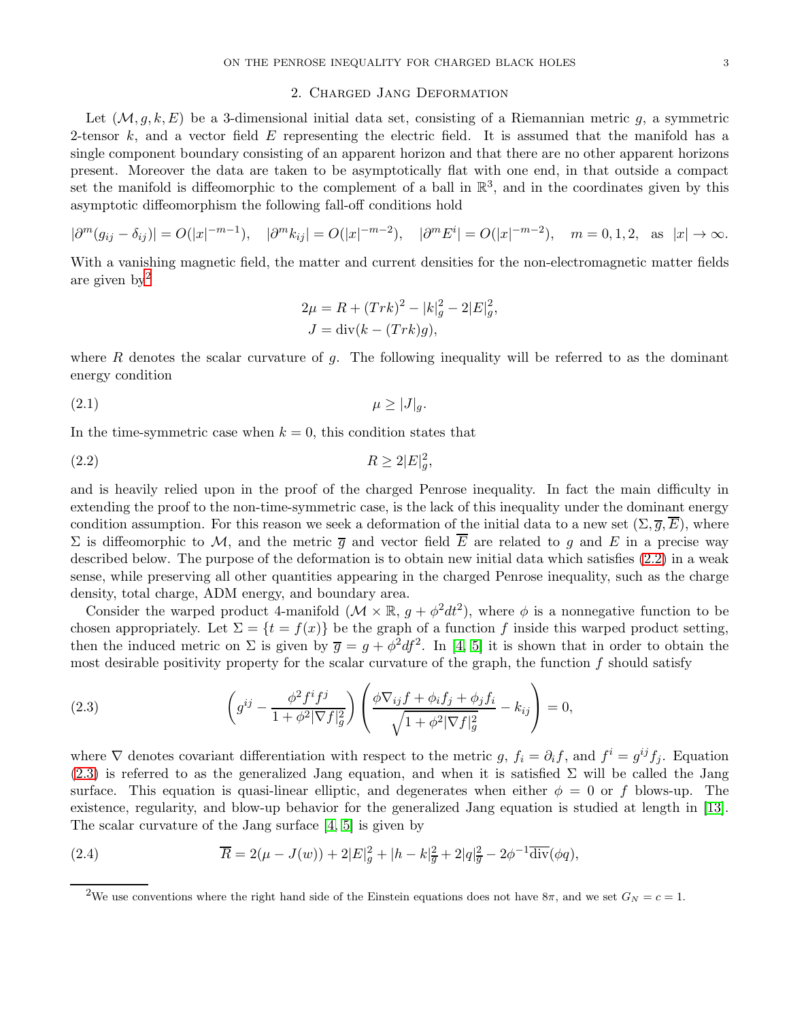# 2. Charged Jang Deformation

<span id="page-2-0"></span>Let  $(M, q, k, E)$  be a 3-dimensional initial data set, consisting of a Riemannian metric q, a symmetric 2-tensor k, and a vector field  $E$  representing the electric field. It is assumed that the manifold has a single component boundary consisting of an apparent horizon and that there are no other apparent horizons present. Moreover the data are taken to be asymptotically flat with one end, in that outside a compact set the manifold is diffeomorphic to the complement of a ball in  $\mathbb{R}^3$ , and in the coordinates given by this asymptotic diffeomorphism the following fall-off conditions hold

$$
|\partial^m (g_{ij} - \delta_{ij})| = O(|x|^{-m-1}), \quad |\partial^m k_{ij}| = O(|x|^{-m-2}), \quad |\partial^m E^i| = O(|x|^{-m-2}), \quad m = 0, 1, 2, \text{ as } |x| \to \infty.
$$

With a vanishing magnetic field, the matter and current densities for the non-electromagnetic matter fields are given  $bv^2$  $bv^2$ 

<span id="page-2-2"></span>
$$
2\mu = R + (Trk)^{2} - |k|_{g}^{2} - 2|E|_{g}^{2},
$$
  

$$
J = \text{div}(k - (Trk)g),
$$

where R denotes the scalar curvature of g. The following inequality will be referred to as the dominant energy condition

<span id="page-2-5"></span>
$$
\mu \ge |J|_g.
$$

In the time-symmetric case when  $k = 0$ , this condition states that

$$
(2.2) \t\t R \ge 2|E|_g^2,
$$

and is heavily relied upon in the proof of the charged Penrose inequality. In fact the main difficulty in extending the proof to the non-time-symmetric case, is the lack of this inequality under the dominant energy condition assumption. For this reason we seek a deformation of the initial data to a new set  $(\Sigma, \overline{g}, \overline{E})$ , where Σ is diffeomorphic to M, and the metric  $\overline{q}$  and vector field  $\overline{E}$  are related to g and E in a precise way described below. The purpose of the deformation is to obtain new initial data which satisfies [\(2.2\)](#page-2-2) in a weak sense, while preserving all other quantities appearing in the charged Penrose inequality, such as the charge density, total charge, ADM energy, and boundary area.

Consider the warped product 4-manifold  $(\mathcal{M} \times \mathbb{R}, g + \phi^2 dt^2)$ , where  $\phi$  is a nonnegative function to be chosen appropriately. Let  $\Sigma = \{t = f(x)\}\$ be the graph of a function f inside this warped product setting, then the induced metric on  $\Sigma$  is given by  $\overline{g} = g + \phi^2 df^2$ . In [\[4,](#page-17-0) [5\]](#page-18-0) it is shown that in order to obtain the most desirable positivity property for the scalar curvature of the graph, the function  $f$  should satisfy

<span id="page-2-3"></span>(2.3) 
$$
\left(g^{ij} - \frac{\phi^2 f^i f^j}{1 + \phi^2 |\nabla f|_g^2}\right) \left(\frac{\phi \nabla_{ij} f + \phi_i f_j + \phi_j f_i}{\sqrt{1 + \phi^2 |\nabla f|_g^2}} - k_{ij}\right) = 0,
$$

where  $\nabla$  denotes covariant differentiation with respect to the metric g,  $f_i = \partial_i f$ , and  $f^i = g^{ij} f_j$ . Equation  $(2.3)$  is referred to as the generalized Jang equation, and when it is satisfied  $\Sigma$  will be called the Jang surface. This equation is quasi-linear elliptic, and degenerates when either  $\phi = 0$  or f blows-up. The existence, regularity, and blow-up behavior for the generalized Jang equation is studied at length in [\[13\]](#page-18-16). The scalar curvature of the Jang surface [\[4,](#page-17-0) [5\]](#page-18-0) is given by

(2.4) 
$$
\overline{R} = 2(\mu - J(w)) + 2|E|_g^2 + |h - k|_{\overline{g}}^2 + 2|q|_{\overline{g}}^2 - 2\phi^{-1}\overline{\text{div}}(\phi q),
$$

<span id="page-2-4"></span><span id="page-2-1"></span><sup>&</sup>lt;sup>2</sup>We use conventions where the right hand side of the Einstein equations does not have  $8\pi$ , and we set  $G_N = c = 1$ .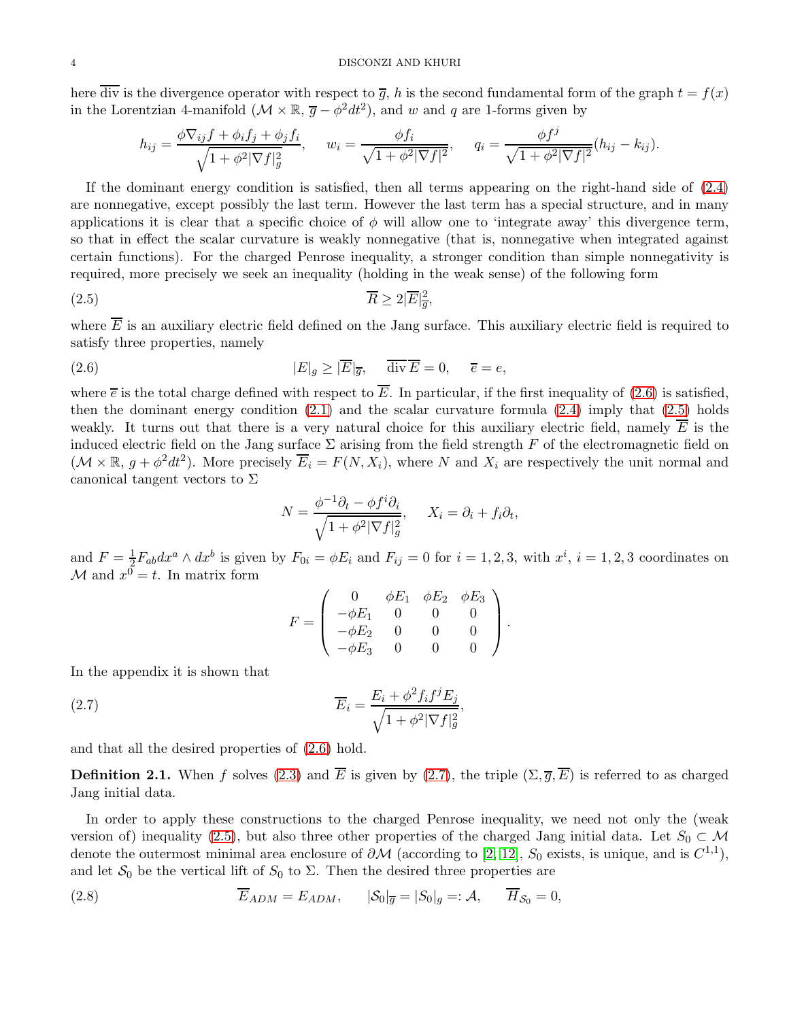here  $\overline{div}$  is the divergence operator with respect to  $\overline{g}$ , h is the second fundamental form of the graph  $t = f(x)$ in the Lorentzian 4-manifold  $(\mathcal{M} \times \mathbb{R}, \overline{g} - \phi^2 dt^2)$ , and w and q are 1-forms given by

$$
h_{ij} = \frac{\phi \nabla_{ij} f + \phi_i f_j + \phi_j f_i}{\sqrt{1 + \phi^2 |\nabla f|_g^2}}, \quad w_i = \frac{\phi f_i}{\sqrt{1 + \phi^2 |\nabla f|^2}}, \quad q_i = \frac{\phi f^j}{\sqrt{1 + \phi^2 |\nabla f|^2}} (h_{ij} - k_{ij}).
$$

If the dominant energy condition is satisfied, then all terms appearing on the right-hand side of [\(2.4\)](#page-2-4) are nonnegative, except possibly the last term. However the last term has a special structure, and in many applications it is clear that a specific choice of  $\phi$  will allow one to 'integrate away' this divergence term, so that in effect the scalar curvature is weakly nonnegative (that is, nonnegative when integrated against certain functions). For the charged Penrose inequality, a stronger condition than simple nonnegativity is required, more precisely we seek an inequality (holding in the weak sense) of the following form

$$
\overline{R} \ge 2|\overline{E}|_{\overline{g}}^2,
$$

where  $\overline{E}$  is an auxiliary electric field defined on the Jang surface. This auxiliary electric field is required to satisfy three properties, namely

(2.6) 
$$
|E|_g \ge |\overline{E}|_{\overline{g}}, \quad \overline{\text{div}} \,\overline{E} = 0, \quad \overline{e} = e,
$$

where  $\bar{e}$  is the total charge defined with respect to  $\bar{E}$ . In particular, if the first inequality of [\(2.6\)](#page-3-0) is satisfied, then the dominant energy condition  $(2.1)$  and the scalar curvature formula  $(2.4)$  imply that  $(2.5)$  holds weakly. It turns out that there is a very natural choice for this auxiliary electric field, namely  $E$  is the induced electric field on the Jang surface  $\Sigma$  arising from the field strength F of the electromagnetic field on  $(\mathcal{M} \times \mathbb{R}, g + \phi^2 dt^2)$ . More precisely  $\overline{E}_i = F(N, X_i)$ , where N and  $X_i$  are respectively the unit normal and canonical tangent vectors to  $\Sigma$ 

<span id="page-3-1"></span><span id="page-3-0"></span>
$$
N = \frac{\phi^{-1}\partial_t - \phi f^i \partial_i}{\sqrt{1 + \phi^2 |\nabla f|_g^2}}, \quad X_i = \partial_i + f_i \partial_t,
$$

and  $F=\frac{1}{2}$  $\frac{1}{2}F_{ab}dx^a \wedge dx^b$  is given by  $F_{0i} = \phi E_i$  and  $F_{ij} = 0$  for  $i = 1, 2, 3$ , with  $x^i$ ,  $i = 1, 2, 3$  coordinates on  $\mathcal{M}$  and  $x^0 = t$ . In matrix form

$$
F = \left( \begin{array}{cccc} 0 & \phi E_1 & \phi E_2 & \phi E_3 \\ -\phi E_1 & 0 & 0 & 0 \\ -\phi E_2 & 0 & 0 & 0 \\ -\phi E_3 & 0 & 0 & 0 \end{array} \right).
$$

In the appendix it is shown that

<span id="page-3-2"></span>(2.7) 
$$
\overline{E}_i = \frac{E_i + \phi^2 f_i f^j E_j}{\sqrt{1 + \phi^2 |\nabla f|_g^2}},
$$

and that all the desired properties of [\(2.6\)](#page-3-0) hold.

**Definition 2.1.** When f solves [\(2.3\)](#page-2-3) and  $\overline{E}$  is given by [\(2.7\)](#page-3-2), the triple  $(\Sigma, \overline{q}, \overline{E})$  is referred to as charged Jang initial data.

In order to apply these constructions to the charged Penrose inequality, we need not only the (weak version of) inequality [\(2.5\)](#page-3-1), but also three other properties of the charged Jang initial data. Let  $S_0 \subset \mathcal{M}$ denote the outermost minimal area enclosure of  $\partial M$  (according to [\[2,](#page-17-4) [12\]](#page-18-10),  $S_0$  exists, is unique, and is  $C^{1,1}$ ), and let  $S_0$  be the vertical lift of  $S_0$  to  $\Sigma$ . Then the desired three properties are

<span id="page-3-3"></span>(2.8) 
$$
\overline{E}_{ADM} = E_{ADM}, \qquad |\mathcal{S}_0|_{\overline{g}} = |S_0|_{g} =: \mathcal{A}, \qquad \overline{H}_{\mathcal{S}_0} = 0,
$$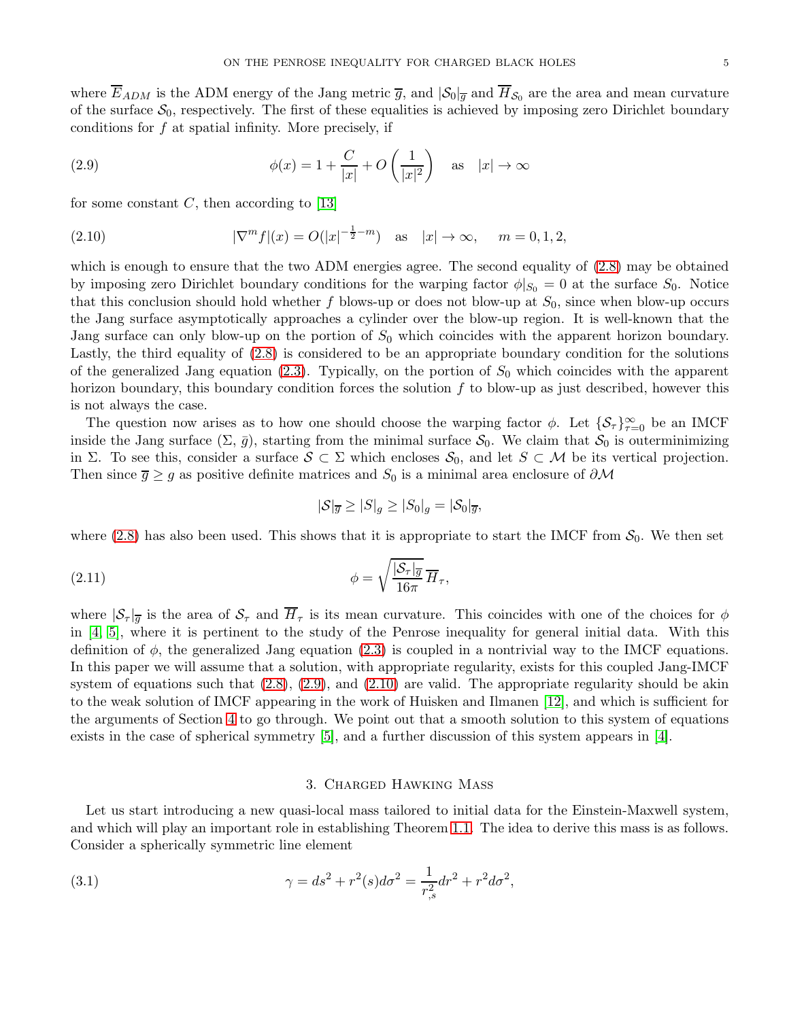where  $E_{ADM}$  is the ADM energy of the Jang metric  $\overline{g}$ , and  $|S_0|_{\overline{g}}$  and  $H_{S_0}$  are the area and mean curvature of the surface  $S_0$ , respectively. The first of these equalities is achieved by imposing zero Dirichlet boundary conditions for f at spatial infinity. More precisely, if

<span id="page-4-1"></span>(2.9) 
$$
\phi(x) = 1 + \frac{C}{|x|} + O\left(\frac{1}{|x|^2}\right) \quad \text{as} \quad |x| \to \infty
$$

for some constant  $C$ , then according to [\[13\]](#page-18-16)

<span id="page-4-2"></span>(2.10) 
$$
|\nabla^m f|(x) = O(|x|^{-\frac{1}{2}-m}) \text{ as } |x| \to \infty, \quad m = 0, 1, 2,
$$

which is enough to ensure that the two ADM energies agree. The second equality of [\(2.8\)](#page-3-3) may be obtained by imposing zero Dirichlet boundary conditions for the warping factor  $\phi|_{S_0} = 0$  at the surface  $S_0$ . Notice that this conclusion should hold whether f blows-up or does not blow-up at  $S_0$ , since when blow-up occurs the Jang surface asymptotically approaches a cylinder over the blow-up region. It is well-known that the Jang surface can only blow-up on the portion of  $S_0$  which coincides with the apparent horizon boundary. Lastly, the third equality of [\(2.8\)](#page-3-3) is considered to be an appropriate boundary condition for the solutions of the generalized Jang equation [\(2.3\)](#page-2-3). Typically, on the portion of  $S_0$  which coincides with the apparent horizon boundary, this boundary condition forces the solution  $f$  to blow-up as just described, however this is not always the case.

The question now arises as to how one should choose the warping factor  $\phi$ . Let  $\{\mathcal{S}_{\tau}\}_{\tau=0}^{\infty}$  be an IMCF inside the Jang surface  $(\Sigma, \bar{g})$ , starting from the minimal surface  $S_0$ . We claim that  $S_0$  is outerminimizing in Σ. To see this, consider a surface  $S \subset \Sigma$  which encloses  $S_0$ , and let  $S \subset \mathcal{M}$  be its vertical projection. Then since  $\bar{g} \geq g$  as positive definite matrices and  $S_0$  is a minimal area enclosure of  $\partial M$ 

$$
|\mathcal{S}|_{\overline{g}} \geq |S|_g \geq |S_0|_g = |\mathcal{S}_0|_{\overline{g}},
$$

where [\(2.8\)](#page-3-3) has also been used. This shows that it is appropriate to start the IMCF from  $S_0$ . We then set

<span id="page-4-4"></span>(2.11) 
$$
\phi = \sqrt{\frac{|\mathcal{S}_{\tau}|_{\overline{g}}}{16\pi}} \overline{H}_{\tau},
$$

where  $|\mathcal{S}_{\tau}|\bar{g}$  is the area of  $\mathcal{S}_{\tau}$  and  $\bar{H}_{\tau}$  is its mean curvature. This coincides with one of the choices for  $\phi$ in [\[4,](#page-17-0) [5\]](#page-18-0), where it is pertinent to the study of the Penrose inequality for general initial data. With this definition of  $\phi$ , the generalized Jang equation [\(2.3\)](#page-2-3) is coupled in a nontrivial way to the IMCF equations. In this paper we will assume that a solution, with appropriate regularity, exists for this coupled Jang-IMCF system of equations such that  $(2.8)$ ,  $(2.9)$ , and  $(2.10)$  are valid. The appropriate regularity should be akin to the weak solution of IMCF appearing in the work of Huisken and Ilmanen [\[12\]](#page-18-10), and which is sufficient for the arguments of Section [4](#page-5-0) to go through. We point out that a smooth solution to this system of equations exists in the case of spherical symmetry [\[5\]](#page-18-0), and a further discussion of this system appears in [\[4\]](#page-17-0).

## 3. Charged Hawking Mass

<span id="page-4-0"></span>Let us start introducing a new quasi-local mass tailored to initial data for the Einstein-Maxwell system, and which will play an important role in establishing Theorem [1.1.](#page-1-0) The idea to derive this mass is as follows. Consider a spherically symmetric line element

<span id="page-4-3"></span>(3.1) 
$$
\gamma = ds^2 + r^2(s)d\sigma^2 = \frac{1}{r_{,s}^2}dr^2 + r^2d\sigma^2,
$$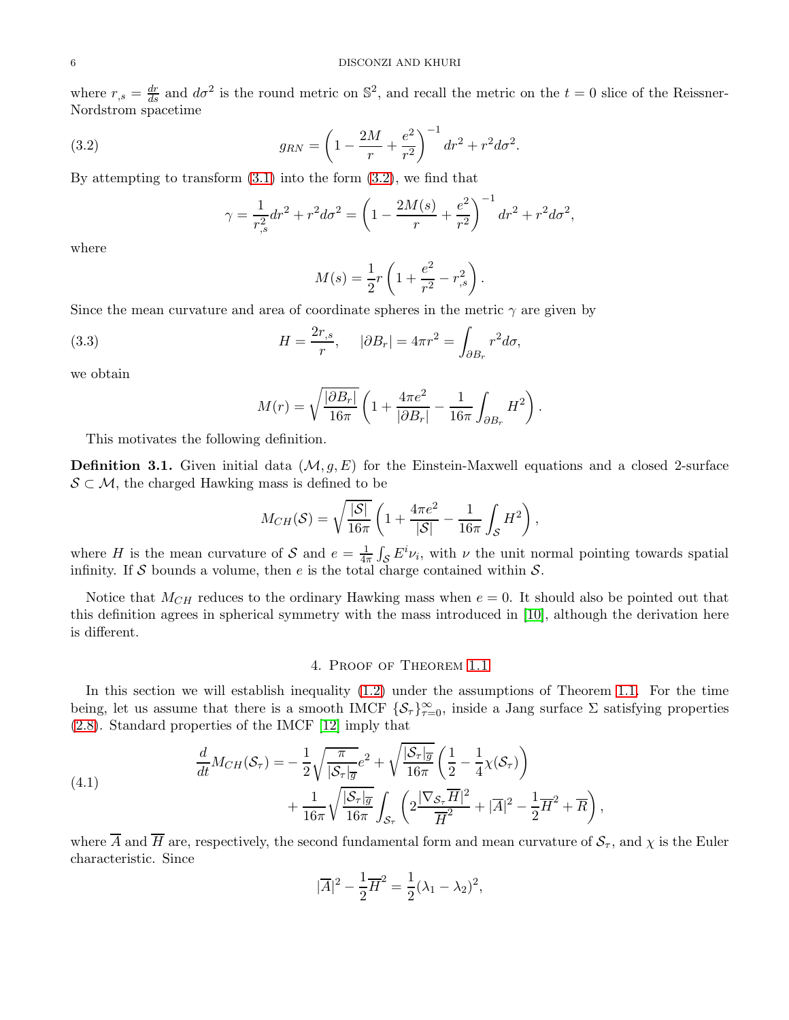where  $r_{,s} = \frac{dr}{ds}$  and  $d\sigma^2$  is the round metric on  $\mathbb{S}^2$ , and recall the metric on the  $t = 0$  slice of the Reissner-Nordstrom spacetime

<span id="page-5-1"></span>(3.2) 
$$
g_{RN} = \left(1 - \frac{2M}{r} + \frac{e^2}{r^2}\right)^{-1} dr^2 + r^2 d\sigma^2.
$$

By attempting to transform  $(3.1)$  into the form  $(3.2)$ , we find that

$$
\gamma = \frac{1}{r_{,s}^2} dr^2 + r^2 d\sigma^2 = \left( 1 - \frac{2M(s)}{r} + \frac{e^2}{r^2} \right)^{-1} dr^2 + r^2 d\sigma^2,
$$

where

$$
M(s) = \frac{1}{2}r\left(1 + \frac{e^2}{r^2} - r_{,s}^2\right).
$$

Since the mean curvature and area of coordinate spheres in the metric  $\gamma$  are given by

<span id="page-5-3"></span>(3.3) 
$$
H = \frac{2r_{,s}}{r}, \quad |\partial B_r| = 4\pi r^2 = \int_{\partial B_r} r^2 d\sigma,
$$

we obtain

$$
M(r) = \sqrt{\frac{|\partial B_r|}{16\pi}} \left( 1 + \frac{4\pi e^2}{|\partial B_r|} - \frac{1}{16\pi} \int_{\partial B_r} H^2 \right).
$$

This motivates the following definition.

**Definition 3.1.** Given initial data  $(M, g, E)$  for the Einstein-Maxwell equations and a closed 2-surface  $S \subset M$ , the charged Hawking mass is defined to be

$$
M_{CH}(\mathcal{S}) = \sqrt{\frac{|\mathcal{S}|}{16\pi}} \left( 1 + \frac{4\pi e^2}{|\mathcal{S}|} - \frac{1}{16\pi} \int_{\mathcal{S}} H^2 \right),\,
$$

where *H* is the mean curvature of *S* and  $e = \frac{1}{4i}$  $\frac{1}{4\pi} \int_{\mathcal{S}} E^i \nu_i$ , with  $\nu$  the unit normal pointing towards spatial infinity. If S bounds a volume, then  $e$  is the total charge contained within  $S$ .

Notice that  $M_{CH}$  reduces to the ordinary Hawking mass when  $e = 0$ . It should also be pointed out that this definition agrees in spherical symmetry with the mass introduced in [\[10\]](#page-18-13), although the derivation here is different.

# 4. Proof of Theorem [1.1](#page-1-0)

<span id="page-5-0"></span>In this section we will establish inequality [\(1.2\)](#page-1-2) under the assumptions of Theorem [1.1.](#page-1-0) For the time being, let us assume that there is a smooth IMCF  $\{S_\tau\}_{\tau=0}^\infty$ , inside a Jang surface  $\Sigma$  satisfying properties [\(2.8\)](#page-3-3). Standard properties of the IMCF [\[12\]](#page-18-10) imply that

<span id="page-5-2"></span>(4.1) 
$$
\frac{d}{dt}M_{CH}(\mathcal{S}_{\tau}) = -\frac{1}{2}\sqrt{\frac{\pi}{|\mathcal{S}_{\tau}|_{\overline{g}}}}e^{2} + \sqrt{\frac{|\mathcal{S}_{\tau}|_{\overline{g}}}{16\pi}}\left(\frac{1}{2} - \frac{1}{4}\chi(\mathcal{S}_{\tau})\right) + \frac{1}{16\pi}\sqrt{\frac{|\mathcal{S}_{\tau}|_{\overline{g}}}{16\pi}}\int_{\mathcal{S}_{\tau}}\left(2\frac{|\nabla_{\mathcal{S}_{\tau}}\overline{H}|^{2}}{\overline{H}^{2}} + |\overline{A}|^{2} - \frac{1}{2}\overline{H}^{2} + \overline{R}\right),
$$

where  $\overline{A}$  and  $\overline{H}$  are, respectively, the second fundamental form and mean curvature of  $S_{\tau}$ , and  $\chi$  is the Euler characteristic. Since

$$
|\overline{A}|^2 - \frac{1}{2}\overline{H}^2 = \frac{1}{2}(\lambda_1 - \lambda_2)^2,
$$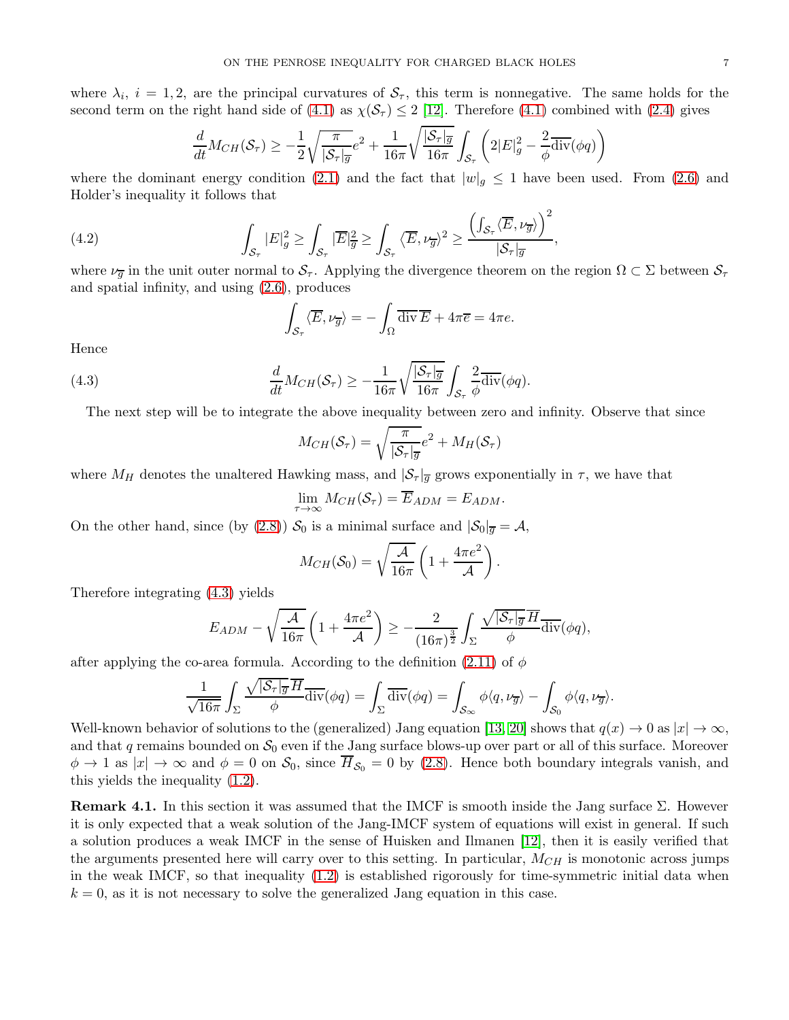where  $\lambda_i$ ,  $i = 1, 2$ , are the principal curvatures of  $S_\tau$ , this term is nonnegative. The same holds for the second term on the right hand side of [\(4.1\)](#page-5-2) as  $\chi(\mathcal{S}_{\tau}) \leq 2$  [\[12\]](#page-18-10). Therefore (4.1) combined with [\(2.4\)](#page-2-4) gives

$$
\frac{d}{dt}M_{CH}(\mathcal{S}_{\tau}) \geq -\frac{1}{2}\sqrt{\frac{\pi}{|\mathcal{S}_{\tau}|_{\overline{g}}}}e^{2} + \frac{1}{16\pi}\sqrt{\frac{|\mathcal{S}_{\tau}|_{\overline{g}}}{16\pi}}\int_{\mathcal{S}_{\tau}}\left(2|E|_{g}^{2} - \frac{2}{\phi}\overline{\text{div}}(\phi q)\right)
$$

where the dominant energy condition [\(2.1\)](#page-2-5) and the fact that  $|w|_q \leq 1$  have been used. From [\(2.6\)](#page-3-0) and Holder's inequality it follows that

<span id="page-6-1"></span>(4.2) 
$$
\int_{\mathcal{S}_{\tau}}|E|_{g}^{2} \geq \int_{\mathcal{S}_{\tau}}|\overline{E}|_{\overline{g}}^{2} \geq \int_{\mathcal{S}_{\tau}}\langle \overline{E}, \nu_{\overline{g}}\rangle^{2} \geq \frac{\left(\int_{\mathcal{S}_{\tau}}\langle \overline{E}, \nu_{\overline{g}}\rangle\right)^{2}}{|S_{\tau}|_{\overline{g}}},
$$

where  $\nu_{\overline{q}}$  in the unit outer normal to  $S_{\tau}$ . Applying the divergence theorem on the region  $\Omega \subset \Sigma$  between  $S_{\tau}$ and spatial infinity, and using [\(2.6\)](#page-3-0), produces

$$
\int_{\mathcal{S}_{\tau}} \langle \overline{E}, \nu_{\overline{g}} \rangle = -\int_{\Omega} \overline{\text{div}} \, \overline{E} + 4\pi \overline{e} = 4\pi e.
$$

Hence

<span id="page-6-0"></span>(4.3) 
$$
\frac{d}{dt}M_{CH}(\mathcal{S}_{\tau}) \geq -\frac{1}{16\pi}\sqrt{\frac{|\mathcal{S}_{\tau}|_{\overline{g}}}{16\pi}}\int_{\mathcal{S}_{\tau}}\frac{2}{\phi}\overline{\text{div}}(\phi q).
$$

The next step will be to integrate the above inequality between zero and infinity. Observe that since

$$
M_{CH}(\mathcal{S}_{\tau}) = \sqrt{\frac{\pi}{|\mathcal{S}_{\tau}|_{\overline{g}}}}e^2 + M_{H}(\mathcal{S}_{\tau})
$$

where  $M_H$  denotes the unaltered Hawking mass, and  $|\mathcal{S}_{\tau}|_{\overline{g}}$  grows exponentially in  $\tau$ , we have that

$$
\lim_{\tau \to \infty} M_{CH}(\mathcal{S}_{\tau}) = \overline{E}_{ADM} = E_{ADM}.
$$

On the other hand, since (by [\(2.8\)](#page-3-3))  $S_0$  is a minimal surface and  $|S_0|_{\overline{g}} = A$ ,

$$
M_{CH}(\mathcal{S}_0) = \sqrt{\frac{\mathcal{A}}{16\pi}} \left( 1 + \frac{4\pi e^2}{\mathcal{A}} \right).
$$

Therefore integrating [\(4.3\)](#page-6-0) yields

$$
E_{ADM} - \sqrt{\frac{\mathcal{A}}{16\pi}} \left( 1 + \frac{4\pi e^2}{\mathcal{A}} \right) \ge -\frac{2}{(16\pi)^{\frac{3}{2}}} \int_{\Sigma} \frac{\sqrt{|\mathcal{S}_{\tau}|_{\overline{g}} H}}{\phi} d\overline{\text{div}}(\phi q),
$$

after applying the co-area formula. According to the definition [\(2.11\)](#page-4-4) of  $\phi$ 

$$
\frac{1}{\sqrt{16\pi}}\int_{\Sigma}\frac{\sqrt{|\mathcal{S}_{\tau}|_{\overline{g}}}\overline{H}}{\phi}\overline{\text{div}}(\phi q)=\int_{\Sigma}\overline{\text{div}}(\phi q)=\int_{\mathcal{S}_{\infty}}\phi\langle q,\nu_{\overline{g}}\rangle-\int_{\mathcal{S}_{0}}\phi\langle q,\nu_{\overline{g}}\rangle.
$$

Well-known behavior of solutions to the (generalized) Jang equation [\[13,](#page-18-16) [20\]](#page-18-8) shows that  $q(x) \to 0$  as  $|x| \to \infty$ , and that q remains bounded on  $S_0$  even if the Jang surface blows-up over part or all of this surface. Moreover  $\phi \to 1$  as  $|x| \to \infty$  and  $\phi = 0$  on  $\mathcal{S}_0$ , since  $\overline{H}_{\mathcal{S}_0} = 0$  by [\(2.8\)](#page-3-3). Hence both boundary integrals vanish, and this yields the inequality [\(1.2\)](#page-1-2).

**Remark 4.1.** In this section it was assumed that the IMCF is smooth inside the Jang surface  $\Sigma$ . However it is only expected that a weak solution of the Jang-IMCF system of equations will exist in general. If such a solution produces a weak IMCF in the sense of Huisken and Ilmanen [\[12\]](#page-18-10), then it is easily verified that the arguments presented here will carry over to this setting. In particular,  $M_{CH}$  is monotonic across jumps in the weak IMCF, so that inequality [\(1.2\)](#page-1-2) is established rigorously for time-symmetric initial data when  $k = 0$ , as it is not necessary to solve the generalized Jang equation in this case.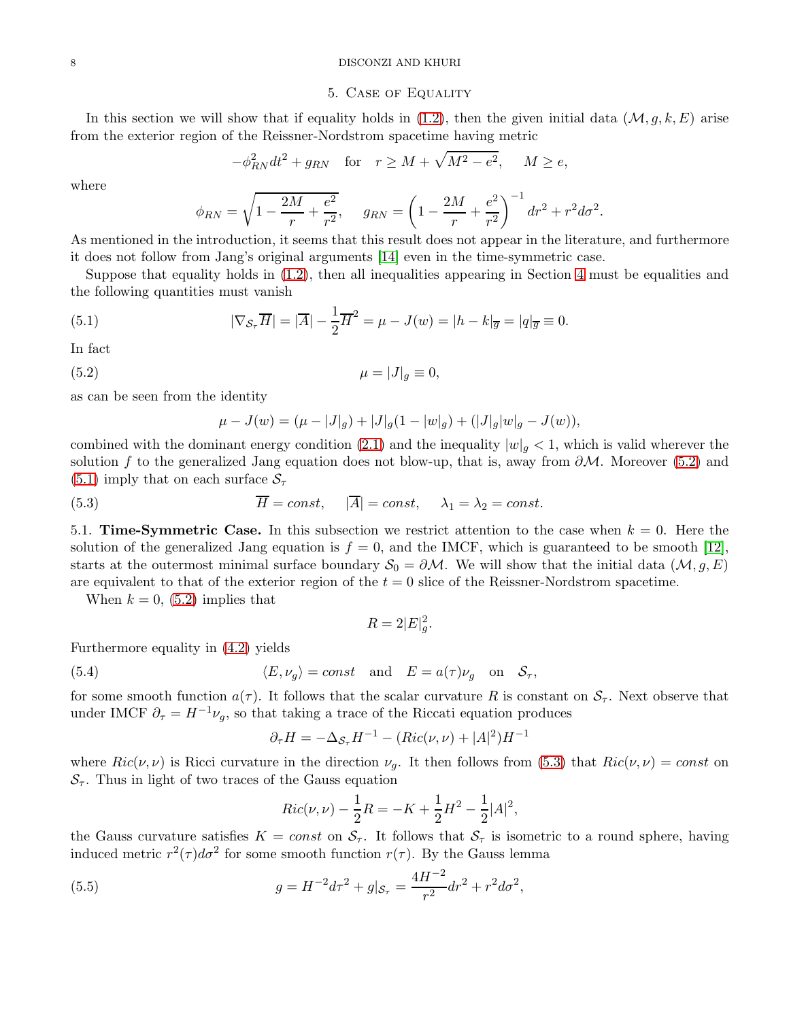#### <span id="page-7-0"></span>8 DISCONZI AND KHURI

# 5. Case of Equality

In this section we will show that if equality holds in [\(1.2\)](#page-1-2), then the given initial data  $(M, g, k, E)$  arise from the exterior region of the Reissner-Nordstrom spacetime having metric

$$
-\phi_{RN}^2 dt^2 + g_{RN} \quad \text{for} \quad r \ge M + \sqrt{M^2 - e^2}, \quad M \ge e,
$$

where

$$
\phi_{RN} = \sqrt{1 - \frac{2M}{r} + \frac{e^2}{r^2}}, \quad g_{RN} = \left(1 - \frac{2M}{r} + \frac{e^2}{r^2}\right)^{-1} dr^2 + r^2 d\sigma^2.
$$

As mentioned in the introduction, it seems that this result does not appear in the literature, and furthermore it does not follow from Jang's original arguments [\[14\]](#page-18-17) even in the time-symmetric case.

Suppose that equality holds in [\(1.2\)](#page-1-2), then all inequalities appearing in Section [4](#page-5-0) must be equalities and the following quantities must vanish

(5.1) 
$$
|\nabla_{\mathcal{S}_{\tau}} \overline{H}| = |\overline{A}| - \frac{1}{2}\overline{H}^2 = \mu - J(w) = |h - k|_{\overline{g}} = |q|_{\overline{g}} \equiv 0.
$$

In fact

$$
\mu = |J|_g \equiv 0,
$$

as can be seen from the identity

<span id="page-7-4"></span><span id="page-7-3"></span><span id="page-7-2"></span>
$$
\mu - J(w) = (\mu - |J|_g) + |J|_g (1 - |w|_g) + (|J|_g |w|_g - J(w)),
$$

combined with the dominant energy condition [\(2.1\)](#page-2-5) and the inequality  $|w|_g < 1$ , which is valid wherever the solution f to the generalized Jang equation does not blow-up, that is, away from  $\partial M$ . Moreover [\(5.2\)](#page-7-2) and  $(5.1)$  imply that on each surface  $S_{\tau}$ 

<span id="page-7-1"></span>(5.3) 
$$
\overline{H} = const, \quad |\overline{A}| = const, \quad \lambda_1 = \lambda_2 = const.
$$

5.1. **Time-Symmetric Case.** In this subsection we restrict attention to the case when  $k = 0$ . Here the solution of the generalized Jang equation is  $f = 0$ , and the IMCF, which is guaranteed to be smooth [\[12\]](#page-18-10), starts at the outermost minimal surface boundary  $S_0 = \partial M$ . We will show that the initial data  $(M, g, E)$ are equivalent to that of the exterior region of the  $t = 0$  slice of the Reissner-Nordstrom spacetime.

When  $k = 0$ , [\(5.2\)](#page-7-2) implies that

$$
R = 2|E|_g^2.
$$

Furthermore equality in [\(4.2\)](#page-6-1) yields

(5.4) 
$$
\langle E, \nu_g \rangle = const
$$
 and  $E = a(\tau)\nu_g$  on  $S_{\tau}$ ,

for some smooth function  $a(\tau)$ . It follows that the scalar curvature R is constant on  $S_{\tau}$ . Next observe that under IMCF  $\partial_{\tau} = H^{-1} \nu_g$ , so that taking a trace of the Riccati equation produces

<span id="page-7-6"></span>
$$
\partial_{\tau}H = -\Delta_{\mathcal{S}_{\tau}}H^{-1} - (Ric(\nu,\nu) + |A|^2)H^{-1}
$$

where  $Ric(\nu,\nu)$  is Ricci curvature in the direction  $\nu_q$ . It then follows from [\(5.3\)](#page-7-4) that  $Ric(\nu,\nu) = const$  on  $S_{\tau}$ . Thus in light of two traces of the Gauss equation

$$
Ric(\nu, \nu) - \frac{1}{2}R = -K + \frac{1}{2}H^{2} - \frac{1}{2}|A|^{2},
$$

the Gauss curvature satisfies  $K = const$  on  $S_{\tau}$ . It follows that  $S_{\tau}$  is isometric to a round sphere, having induced metric  $r^2(\tau)d\sigma^2$  for some smooth function  $r(\tau)$ . By the Gauss lemma

<span id="page-7-5"></span>(5.5) 
$$
g = H^{-2}d\tau^2 + g|_{\mathcal{S}_{\tau}} = \frac{4H^{-2}}{r^2}dr^2 + r^2d\sigma^2,
$$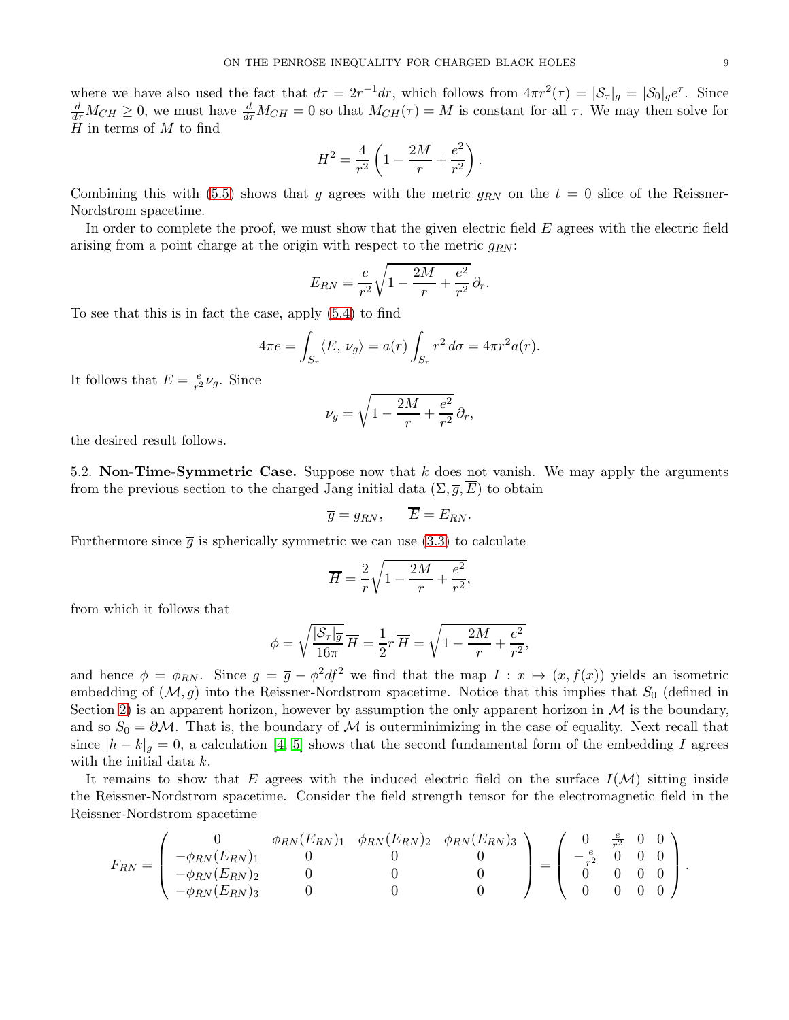where we have also used the fact that  $d\tau = 2r^{-1}dr$ , which follows from  $4\pi r^2(\tau) = |\mathcal{S}_\tau|_g = |\mathcal{S}_0|_g e^{\tau}$ . Since  $\frac{d}{d\tau}M_{CH}\geq 0$ , we must have  $\frac{d}{d\tau}M_{CH}=0$  so that  $M_{CH}(\tau)=M$  is constant for all  $\tau$ . We may then solve for  $H$  in terms of  $M$  to find

$$
H^{2} = \frac{4}{r^{2}} \left( 1 - \frac{2M}{r} + \frac{e^{2}}{r^{2}} \right).
$$

Combining this with [\(5.5\)](#page-7-5) shows that g agrees with the metric  $g_{RN}$  on the  $t = 0$  slice of the Reissner-Nordstrom spacetime.

In order to complete the proof, we must show that the given electric field E agrees with the electric field arising from a point charge at the origin with respect to the metric  $q_{RN}$ :

$$
E_{RN} = \frac{e}{r^2} \sqrt{1 - \frac{2M}{r} + \frac{e^2}{r^2}} \partial_r.
$$

To see that this is in fact the case, apply [\(5.4\)](#page-7-6) to find

$$
4\pi e = \int_{S_r} \langle E, \nu_g \rangle = a(r) \int_{S_r} r^2 d\sigma = 4\pi r^2 a(r).
$$

It follows that  $E = \frac{e}{r^2}$  $\frac{e}{r^2}\nu_g$ . Since

$$
\nu_g = \sqrt{1 - \frac{2M}{r} + \frac{e^2}{r^2}} \partial_r,
$$

<span id="page-8-0"></span>the desired result follows.

5.2. Non-Time-Symmetric Case. Suppose now that  $k$  does not vanish. We may apply the arguments from the previous section to the charged Jang initial data  $(\Sigma, \overline{g}, \overline{E})$  to obtain

$$
\overline{g} = g_{RN}, \qquad \overline{E} = E_{RN}.
$$

Furthermore since  $\bar{g}$  is spherically symmetric we can use [\(3.3\)](#page-5-3) to calculate

$$
\overline{H} = \frac{2}{r} \sqrt{1 - \frac{2M}{r} + \frac{e^2}{r^2}},
$$

from which it follows that

$$
\phi = \sqrt{\frac{|\mathcal{S}_r|_{\overline{g}}}{16\pi}} \overline{H} = \frac{1}{2}r \overline{H} = \sqrt{1 - \frac{2M}{r} + \frac{e^2}{r^2}},
$$

and hence  $\phi = \phi_{RN}$ . Since  $g = \bar{g} - \phi^2 df^2$  we find that the map  $I: x \mapsto (x, f(x))$  yields an isometric embedding of  $(M, g)$  into the Reissner-Nordstrom spacetime. Notice that this implies that  $S_0$  (defined in Section [2\)](#page-2-0) is an apparent horizon, however by assumption the only apparent horizon in  $\mathcal M$  is the boundary, and so  $S_0 = \partial M$ . That is, the boundary of M is outerminimizing in the case of equality. Next recall that since  $|h - k|_{\overline{q}} = 0$ , a calculation [\[4,](#page-17-0) [5\]](#page-18-0) shows that the second fundamental form of the embedding I agrees with the initial data k.

It remains to show that E agrees with the induced electric field on the surface  $I(\mathcal{M})$  sitting inside the Reissner-Nordstrom spacetime. Consider the field strength tensor for the electromagnetic field in the Reissner-Nordstrom spacetime

$$
F_{RN} = \begin{pmatrix} 0 & \phi_{RN}(E_{RN})_1 & \phi_{RN}(E_{RN})_2 & \phi_{RN}(E_{RN})_3 \\ -\phi_{RN}(E_{RN})_1 & 0 & 0 & 0 \\ -\phi_{RN}(E_{RN})_2 & 0 & 0 & 0 \\ -\phi_{RN}(E_{RN})_3 & 0 & 0 & 0 \end{pmatrix} = \begin{pmatrix} 0 & \frac{e}{r^2} & 0 & 0 \\ -\frac{e}{r^2} & 0 & 0 & 0 \\ 0 & 0 & 0 & 0 \\ 0 & 0 & 0 & 0 \end{pmatrix}.
$$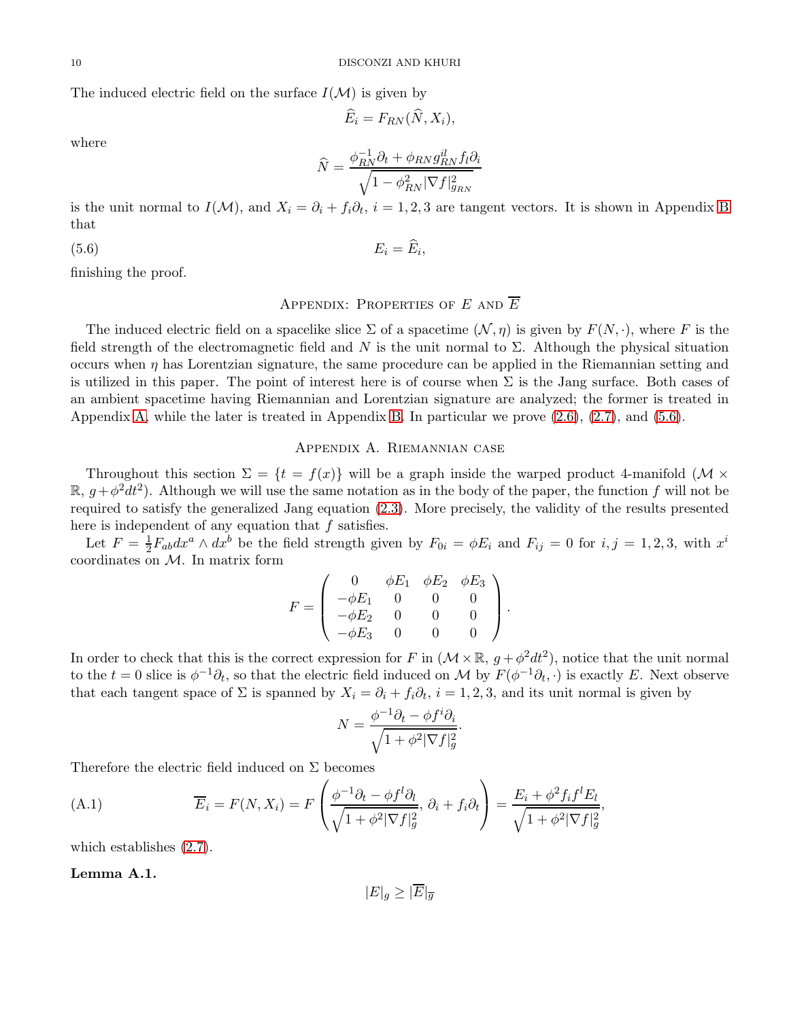The induced electric field on the surface  $I(\mathcal{M})$  is given by

$$
\widehat{E}_i = F_{RN}(\widehat{N}, X_i),
$$

where

$$
\widehat{N} = \frac{\phi_{RN}^{-1}\partial_t + \phi_{RN}g_{RN}^il_{N}f_l\partial_i}{\sqrt{1 - \phi_{RN}^2|\nabla f|_{g_{RN}}^2}}
$$

is the unit normal to  $I(\mathcal{M})$ , and  $X_i = \partial_i + f_i \partial_t$ ,  $i = 1, 2, 3$  are tangent vectors. It is shown in Appendix [B](#page-16-0) that

<span id="page-9-2"></span>
$$
(5.6) \t\t\t E_i = \widehat{E}_i,
$$

finishing the proof.

# <span id="page-9-0"></span>APPENDIX: PROPERTIES OF  $E$  and  $\overline{E}$

The induced electric field on a spacelike slice  $\Sigma$  of a spacetime  $(\mathcal{N}, \eta)$  is given by  $F(N, \cdot)$ , where F is the field strength of the electromagnetic field and N is the unit normal to  $\Sigma$ . Although the physical situation occurs when  $\eta$  has Lorentzian signature, the same procedure can be applied in the Riemannian setting and is utilized in this paper. The point of interest here is of course when  $\Sigma$  is the Jang surface. Both cases of an ambient spacetime having Riemannian and Lorentzian signature are analyzed; the former is treated in Appendix [A,](#page-9-1) while the later is treated in Appendix [B.](#page-16-0) In particular we prove [\(2.6\)](#page-3-0), [\(2.7\)](#page-3-2), and [\(5.6\)](#page-9-2).

# Appendix A. Riemannian case

<span id="page-9-1"></span>Throughout this section  $\Sigma = \{t = f(x)\}\$  will be a graph inside the warped product 4-manifold ( $\mathcal{M} \times$  $\mathbb{R}, g + \phi^2 dt^2$ ). Although we will use the same notation as in the body of the paper, the function f will not be required to satisfy the generalized Jang equation [\(2.3\)](#page-2-3). More precisely, the validity of the results presented here is independent of any equation that f satisfies.

Let  $F = \frac{1}{2}F_{ab}dx^a \wedge dx^b$  be the field strength given by  $F_{0i} = \phi E_i$  and  $F_{ij} = 0$  for  $i, j = 1, 2, 3$ , with  $x^i$ coordinates on M. In matrix form

$$
F = \left(\begin{array}{cccc} 0 & \phi E_1 & \phi E_2 & \phi E_3 \\ -\phi E_1 & 0 & 0 & 0 \\ -\phi E_2 & 0 & 0 & 0 \\ -\phi E_3 & 0 & 0 & 0 \end{array}\right).
$$

In order to check that this is the correct expression for F in  $(\mathcal{M} \times \mathbb{R}, g + \phi^2 dt^2)$ , notice that the unit normal to the  $t = 0$  slice is  $\phi^{-1}\partial_t$ , so that the electric field induced on M by  $F(\phi^{-1}\partial_t, \cdot)$  is exactly E. Next observe that each tangent space of  $\Sigma$  is spanned by  $X_i = \partial_i + f_i \partial_t$ ,  $i = 1, 2, 3$ , and its unit normal is given by

$$
N = \frac{\phi^{-1}\partial_t - \phi f^i \partial_i}{\sqrt{1 + \phi^2 |\nabla f|_g^2}}.
$$

Therefore the electric field induced on  $\Sigma$  becomes

<span id="page-9-3"></span>(A.1) 
$$
\overline{E}_i = F(N, X_i) = F\left(\frac{\phi^{-1}\partial_t - \phi f^l \partial_l}{\sqrt{1 + \phi^2 |\nabla f|_g^2}}, \partial_i + f_i \partial_t\right) = \frac{E_i + \phi^2 f_i f^l E_l}{\sqrt{1 + \phi^2 |\nabla f|_g^2}},
$$

which establishes [\(2.7\)](#page-3-2).

#### Lemma A.1.

$$
|E|_g \ge |E|_{\overline{g}}
$$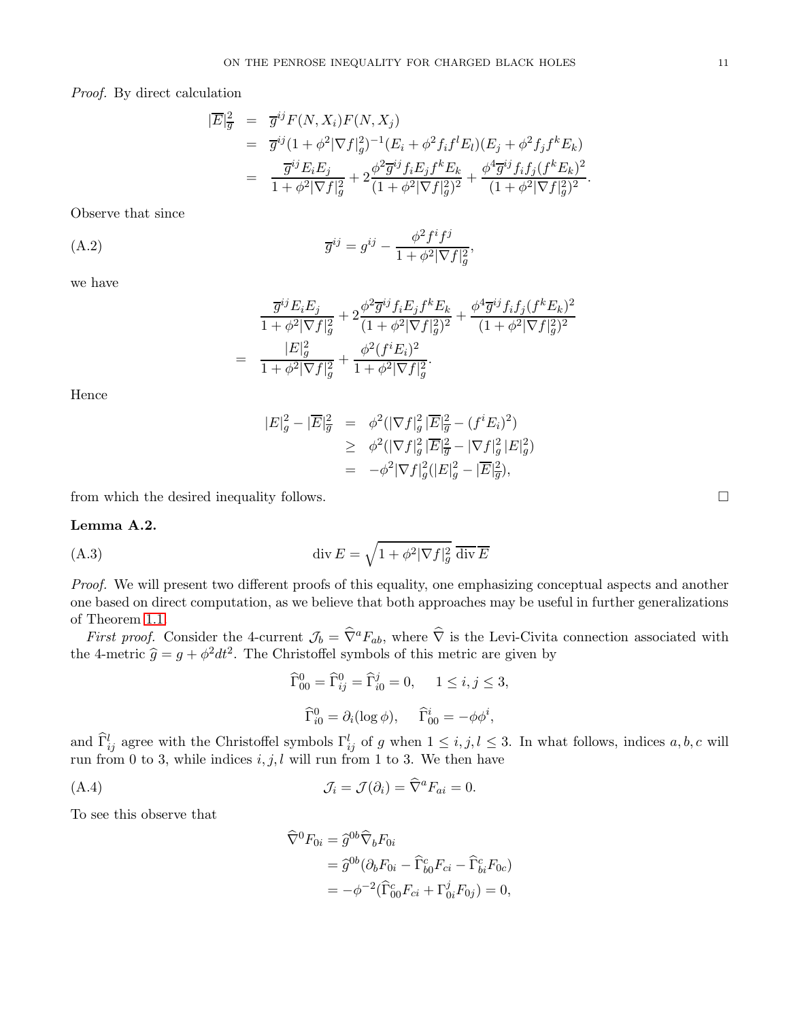Proof. By direct calculation

$$
\begin{split}\n|\overline{E}|_{\overline{g}}^2 &= \overline{g}^{ij} F(N, X_i) F(N, X_j) \\
&= \overline{g}^{ij} (1 + \phi^2 |\nabla f|_g^2)^{-1} (E_i + \phi^2 f_i f^l E_l) (E_j + \phi^2 f_j f^k E_k) \\
&= \frac{\overline{g}^{ij} E_i E_j}{1 + \phi^2 |\nabla f|_g^2} + 2 \frac{\phi^2 \overline{g}^{ij} f_i E_j f^k E_k}{(1 + \phi^2 |\nabla f|_g^2)^2} + \frac{\phi^4 \overline{g}^{ij} f_i f_j (f^k E_k)^2}{(1 + \phi^2 |\nabla f|_g^2)^2}.\n\end{split}
$$

Observe that since

(A.2) 
$$
\overline{g}^{ij} = g^{ij} - \frac{\phi^2 f^i f^j}{1 + \phi^2 |\nabla f|_g^2},
$$

we have

<span id="page-10-2"></span>
$$
\frac{\overline{g}^{ij}E_{i}E_{j}}{1+\phi^{2}|\nabla f|_{g}^{2}}+2\frac{\phi^{2}\overline{g}^{ij}f_{i}E_{j}f^{k}E_{k}}{(1+\phi^{2}|\nabla f|_{g}^{2})^{2}}+\frac{\phi^{4}\overline{g}^{ij}f_{i}f_{j}(f^{k}E_{k})^{2}}{(1+\phi^{2}|\nabla f|_{g}^{2})^{2}}\\=\frac{|E|_{g}^{2}}{1+\phi^{2}|\nabla f|_{g}^{2}}+\frac{\phi^{2}(f^{i}E_{i})^{2}}{1+\phi^{2}|\nabla f|_{g}^{2}}.
$$

Hence

$$
|E|_g^2 - |\overline{E}|_{\overline{g}}^2 = \phi^2 (|\nabla f|_g^2 |\overline{E}|_{\overline{g}}^2 - (f^i E_i)^2) \ge \phi^2 (|\nabla f|_g^2 |\overline{E}|_{\overline{g}}^2 - |\nabla f|_g^2 |E|_g^2) = -\phi^2 |\nabla f|_g^2 (|E|_g^2 - |\overline{E}|_{\overline{g}}^2),
$$

from which the desired inequality follows.

### Lemma A.2.

(A.3) 
$$
\operatorname{div} E = \sqrt{1 + \phi^2 |\nabla f|_g^2} \overline{\operatorname{div} E}
$$

Proof. We will present two different proofs of this equality, one emphasizing conceptual aspects and another one based on direct computation, as we believe that both approaches may be useful in further generalizations of Theorem [1.1.](#page-1-0)

First proof. Consider the 4-current  $\mathcal{J}_b = \hat{\nabla}^a F_{ab}$ , where  $\hat{\nabla}$  is the Levi-Civita connection associated with the 4-metric  $\hat{g} = g + \phi^2 dt^2$ . The Christoffel symbols of this metric are given by

<span id="page-10-1"></span>
$$
\widehat{\Gamma}_{00}^{0} = \widehat{\Gamma}_{ij}^{0} = \widehat{\Gamma}_{i0}^{j} = 0, \quad 1 \le i, j \le 3,
$$
  

$$
\widehat{\Gamma}_{i0}^{0} = \partial_{i} (\log \phi), \quad \widehat{\Gamma}_{00}^{i} = -\phi \phi^{i},
$$

and  $\hat{\Gamma}_{ij}^l$  agree with the Christoffel symbols  $\Gamma_{ij}^l$  of g when  $1 \le i, j, l \le 3$ . In what follows, indices  $a, b, c$  will run from 0 to 3, while indices  $i, j, l$  will run from 1 to 3. We then have

(A.4) 
$$
\mathcal{J}_i = \mathcal{J}(\partial_i) = \widehat{\nabla}^a F_{ai} = 0.
$$

To see this observe that

<span id="page-10-0"></span>
$$
\widehat{\nabla}^{0} F_{0i} = \widehat{g}^{0b} \widehat{\nabla}_{b} F_{0i}
$$
  
=  $\widehat{g}^{0b} (\partial_{b} F_{0i} - \widehat{\Gamma}_{b0}^{c} F_{ci} - \widehat{\Gamma}_{bi}^{c} F_{0c})$   
=  $-\phi^{-2} (\widehat{\Gamma}_{00}^{c} F_{ci} + \Gamma_{0i}^{j} F_{0j}) = 0,$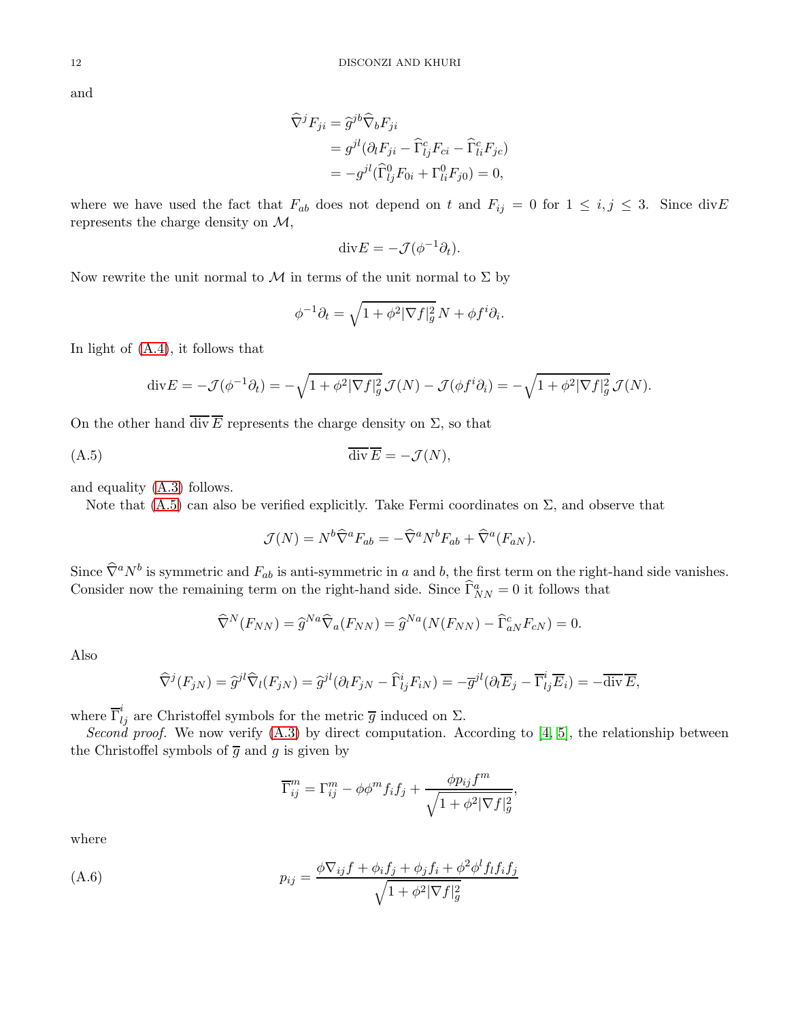and

$$
\widehat{\nabla}^j F_{ji} = \widehat{g}^{jb} \widehat{\nabla}_b F_{ji}
$$
  
=  $g^{jl} (\partial_l F_{ji} - \widehat{\Gamma}_{lj}^c F_{ci} - \widehat{\Gamma}_{li}^c F_{jc})$   
=  $-g^{jl} (\widehat{\Gamma}_{lj}^0 F_{0i} + \Gamma_{li}^0 F_{j0}) = 0,$ 

where we have used the fact that  $F_{ab}$  does not depend on t and  $F_{ij} = 0$  for  $1 \le i, j \le 3$ . Since divE represents the charge density on  $\mathcal{M},$ 

$$
\mathrm{div} E = -\mathcal{J}(\phi^{-1}\partial_t).
$$

Now rewrite the unit normal to  $\mathcal M$  in terms of the unit normal to  $\Sigma$  by

$$
\phi^{-1}\partial_t = \sqrt{1 + \phi^2 |\nabla f|_g^2} N + \phi f^i \partial_i.
$$

In light of [\(A.4\)](#page-10-0), it follows that

$$
\operatorname{div} E = -\mathcal{J}(\phi^{-1}\partial_t) = -\sqrt{1 + \phi^2 |\nabla f|_g^2} \mathcal{J}(N) - \mathcal{J}(\phi f^i \partial_i) = -\sqrt{1 + \phi^2 |\nabla f|_g^2} \mathcal{J}(N).
$$

On the other hand  $\overline{\text{div } E}$  represents the charge density on  $\Sigma$ , so that

$$
\overline{\text{div}}\,\overline{E} = -\mathcal{J}(N),
$$

and equality [\(A.3\)](#page-10-1) follows.

Note that  $(A.5)$  can also be verified explicitly. Take Fermi coordinates on  $\Sigma$ , and observe that

<span id="page-11-0"></span>
$$
\mathcal{J}(N) = N^b \widehat{\nabla}^a F_{ab} = -\widehat{\nabla}^a N^b F_{ab} + \widehat{\nabla}^a (F_{aN}).
$$

Since  $\widehat{\nabla}^a N^b$  is symmetric and  $F_{ab}$  is anti-symmetric in a and b, the first term on the right-hand side vanishes. Consider now the remaining term on the right-hand side. Since  $\widehat{\Gamma}_{NN}^a = 0$  it follows that

$$
\widehat{\nabla}^N(F_{NN}) = \widehat{g}^{Na} \widehat{\nabla}_a(F_{NN}) = \widehat{g}^{Na}(N(F_{NN}) - \widehat{\Gamma}_{aN}^c F_{cN}) = 0.
$$

Also

$$
\widehat{\nabla}^j(F_{jN}) = \widehat{g}^{jl}\widehat{\nabla}_l(F_{jN}) = \widehat{g}^{jl}(\partial_l F_{jN} - \widehat{\Gamma}^i_{lj}F_{iN}) = -\overline{g}^{jl}(\partial_l \overline{E}_j - \overline{\Gamma}^i_{lj}\overline{E}_i) = -\overline{\text{div}\,E},
$$

where  $\overline{\Gamma}_{lj}^i$  are Christoffel symbols for the metric  $\overline{g}$  induced on  $\Sigma$ .

Second proof. We now verify  $(A.3)$  by direct computation. According to  $[4, 5]$  $[4, 5]$ , the relationship between the Christoffel symbols of  $\overline{g}$  and g is given by

<span id="page-11-1"></span>
$$
\overline{\Gamma}_{ij}^m = \Gamma_{ij}^m - \phi \phi^m f_i f_j + \frac{\phi p_{ij} f^m}{\sqrt{1 + \phi^2 |\nabla f|_g^2}},
$$

where

(A.6) 
$$
p_{ij} = \frac{\phi \nabla_{ij} f + \phi_i f_j + \phi_j f_i + \phi^2 \phi^l f_l f_i f_j}{\sqrt{1 + \phi^2 |\nabla f|_g^2}}
$$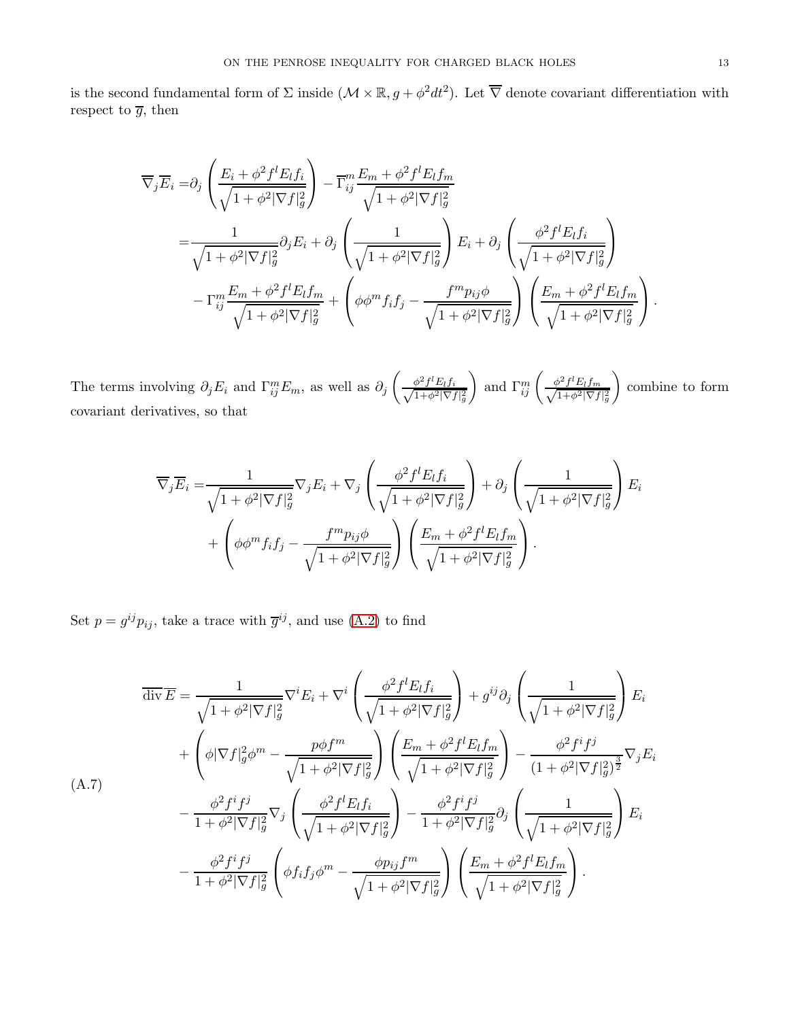is the second fundamental form of  $\Sigma$  inside  $(\mathcal{M} \times \mathbb{R}, g + \phi^2 dt^2)$ . Let  $\overline{\nabla}$  denote covariant differentiation with respect to  $\overline{g},$  then

$$
\overline{\nabla}_{j}\overline{E}_{i} = \partial_{j} \left( \frac{E_{i} + \phi^{2} f^{l} E_{l} f_{i}}{\sqrt{1 + \phi^{2} |\nabla f|_{g}^{2}}} \right) - \overline{\Gamma}_{ij}^{m} \frac{E_{m} + \phi^{2} f^{l} E_{l} f_{m}}{\sqrt{1 + \phi^{2} |\nabla f|_{g}^{2}}} \n= \frac{1}{\sqrt{1 + \phi^{2} |\nabla f|_{g}^{2}}} \partial_{j} E_{i} + \partial_{j} \left( \frac{1}{\sqrt{1 + \phi^{2} |\nabla f|_{g}^{2}}} \right) E_{i} + \partial_{j} \left( \frac{\phi^{2} f^{l} E_{l} f_{i}}{\sqrt{1 + \phi^{2} |\nabla f|_{g}^{2}}} \right) \n- \Gamma_{ij}^{m} \frac{E_{m} + \phi^{2} f^{l} E_{l} f_{m}}{\sqrt{1 + \phi^{2} |\nabla f|_{g}^{2}}} + \left( \phi \phi^{m} f_{i} f_{j} - \frac{f^{m} p_{ij} \phi}{\sqrt{1 + \phi^{2} |\nabla f|_{g}^{2}}} \right) \left( \frac{E_{m} + \phi^{2} f^{l} E_{l} f_{m}}{\sqrt{1 + \phi^{2} |\nabla f|_{g}^{2}}} \right).
$$

The terms involving  $\partial_j E_i$  and  $\Gamma_{ij}^m E_m$ , as well as  $\partial_j$  $\left( \frac{\phi^2 f^l E_l f_i}{\sqrt{1+\phi^2 |\nabla_l} } \right)$  $1+\phi^2|\nabla f|_g^2$ ) and  $\Gamma_{ij}^m \left( \frac{\phi^2 f^l E_l f_m}{\sqrt{1 + \phi^2 |\nabla f|}} \right)$  $(1+\phi^2|\nabla f|_g^2)$  $\overline{ }$ combine to form covariant derivatives, so that

$$
\overline{\nabla}_{j}\overline{E}_{i} = \frac{1}{\sqrt{1+\phi^{2}|\nabla f|_{g}^{2}}}\nabla_{j}E_{i} + \nabla_{j}\left(\frac{\phi^{2}f^{l}E_{l}f_{i}}{\sqrt{1+\phi^{2}|\nabla f|_{g}^{2}}}\right) + \partial_{j}\left(\frac{1}{\sqrt{1+\phi^{2}|\nabla f|_{g}^{2}}}\right)E_{i}
$$

$$
+ \left(\phi\phi^{m}f_{i}f_{j} - \frac{f^{m}p_{ij}\phi}{\sqrt{1+\phi^{2}|\nabla f|_{g}^{2}}}\right)\left(\frac{E_{m} + \phi^{2}f^{l}E_{l}f_{m}}{\sqrt{1+\phi^{2}|\nabla f|_{g}^{2}}}\right).
$$

Set  $p = g^{ij} p_{ij}$ , take a trace with  $\overline{g}^{ij}$ , and use [\(A.2\)](#page-10-2) to find

<span id="page-12-0"></span>
$$
\overline{\text{div}}\overline{E} = \frac{1}{\sqrt{1+\phi^2|\nabla f|_g^2}} \nabla^i E_i + \nabla^i \left( \frac{\phi^2 f^l E_l f_i}{\sqrt{1+\phi^2|\nabla f|_g^2}} \right) + g^{ij} \partial_j \left( \frac{1}{\sqrt{1+\phi^2|\nabla f|_g^2}} \right) E_i
$$
\n
$$
+ \left( \phi |\nabla f|_g^2 \phi^m - \frac{p\phi f^m}{\sqrt{1+\phi^2|\nabla f|_g^2}} \right) \left( \frac{E_m + \phi^2 f^l E_l f_m}{\sqrt{1+\phi^2|\nabla f|_g^2}} \right) - \frac{\phi^2 f^i f^j}{(1+\phi^2|\nabla f|_g^2)^{\frac{3}{2}}} \nabla_j E_i
$$
\n(A.7)\n
$$
- \frac{\phi^2 f^i f^j}{1+\phi^2|\nabla f|_g^2} \nabla_j \left( \frac{\phi^2 f^l E_l f_i}{\sqrt{1+\phi^2|\nabla f|_g^2}} \right) - \frac{\phi^2 f^i f^j}{1+\phi^2|\nabla f|_g^2} \partial_j \left( \frac{1}{\sqrt{1+\phi^2|\nabla f|_g^2}} \right) E_i
$$
\n
$$
- \frac{\phi^2 f^i f^j}{1+\phi^2|\nabla f|_g^2} \left( \phi f_i f_j \phi^m - \frac{\phi p_{ij} f^m}{\sqrt{1+\phi^2|\nabla f|_g^2}} \right) \left( \frac{E_m + \phi^2 f^l E_l f_m}{\sqrt{1+\phi^2|\nabla f|_g^2}} \right).
$$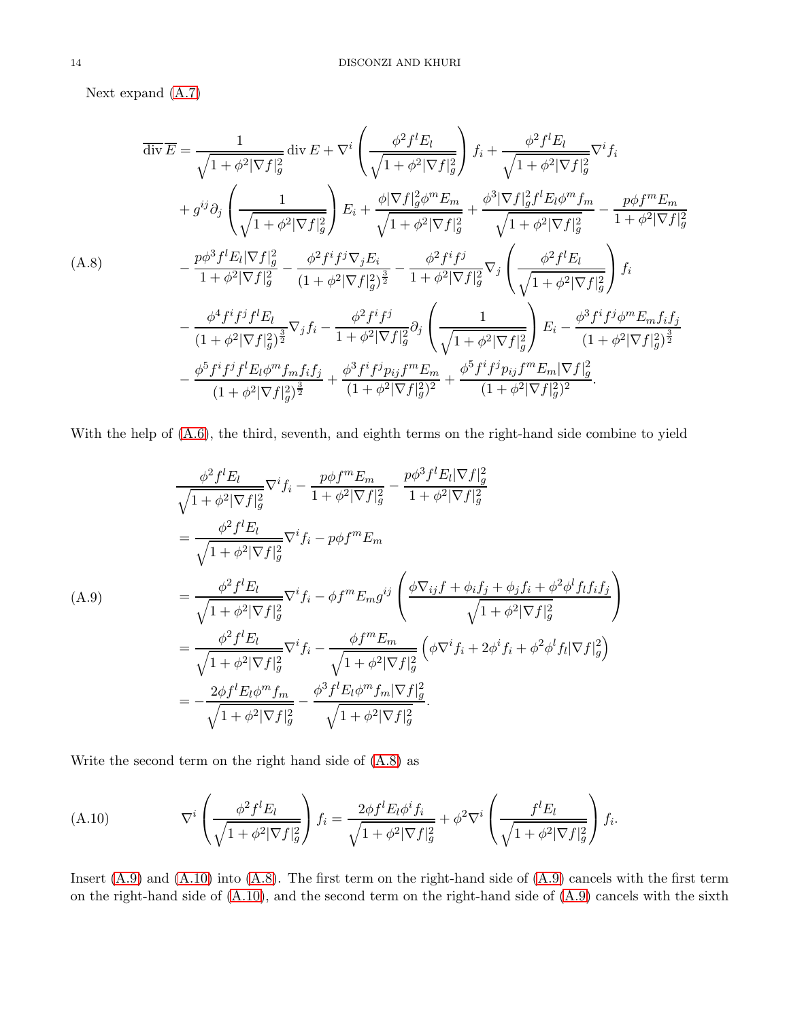Next expand [\(A.7\)](#page-12-0)

<span id="page-13-0"></span>
$$
\overline{\text{div}\,E} = \frac{1}{\sqrt{1 + \phi^2 |\nabla f|_g^2}} \operatorname{div} E + \nabla^i \left( \frac{\phi^2 f^l E_l}{\sqrt{1 + \phi^2 |\nabla f|_g^2}} \right) f_i + \frac{\phi^2 f^l E_l}{\sqrt{1 + \phi^2 |\nabla f|_g^2}} \nabla^i f_i
$$
\n
$$
+ g^{ij} \partial_j \left( \frac{1}{\sqrt{1 + \phi^2 |\nabla f|_g^2}} \right) E_i + \frac{\phi |\nabla f|_g^2 \phi^m E_m}{\sqrt{1 + \phi^2 |\nabla f|_g^2}} + \frac{\phi^3 |\nabla f|_g^2 f^l E_l \phi^m f_m}{\sqrt{1 + \phi^2 |\nabla f|_g^2}} - \frac{p \phi f^m E_m}{1 + \phi^2 |\nabla f|_g^2}
$$
\n(A.8)\n
$$
- \frac{p \phi^3 f^l E_l |\nabla f|_g^2}{1 + \phi^2 |\nabla f|_g^2} - \frac{\phi^2 f^i f^j \nabla_j E_i}{(1 + \phi^2 |\nabla f|_g^2)^{\frac{3}{2}}} - \frac{\phi^2 f^i f^j}{1 + \phi^2 |\nabla f|_g^2} \nabla_j \left( \frac{\phi^2 f^l E_l}{\sqrt{1 + \phi^2 |\nabla f|_g^2}} \right) f_i
$$
\n
$$
- \frac{\phi^4 f^i f^j f^l E_l}{(1 + \phi^2 |\nabla f|_g^2)^{\frac{3}{2}}} \nabla_j f_i - \frac{\phi^2 f^i f^j}{1 + \phi^2 |\nabla f|_g^2} \partial_j \left( \frac{1}{\sqrt{1 + \phi^2 |\nabla f|_g^2}} \right) E_i - \frac{\phi^3 f^i f^j \phi^m E_m f_i f_j}{(1 + \phi^2 |\nabla f|_g^2)^{\frac{3}{2}}}
$$
\n
$$
- \frac{\phi^5 f^i f^j f^l E_l \phi^m f_m f_i f_j}{(1 + \phi^2 |\nabla f|_g^2)^{\frac{3}{2}}} + \frac{\phi^3 f^i f^j p_{ij} f^m E_m}{(1 + \phi^2 |\nabla f|_
$$

With the help of  $(A.6)$ , the third, seventh, and eighth terms on the right-hand side combine to yield

<span id="page-13-1"></span>
$$
\frac{\phi^2 f^l E_l}{\sqrt{1 + \phi^2 |\nabla f|_g^2}} \nabla^i f_i - \frac{p \phi f^m E_m}{1 + \phi^2 |\nabla f|_g^2} - \frac{p \phi^3 f^l E_l |\nabla f|_g^2}{1 + \phi^2 |\nabla f|_g^2}
$$
\n
$$
= \frac{\phi^2 f^l E_l}{\sqrt{1 + \phi^2 |\nabla f|_g^2}} \nabla^i f_i - p \phi f^m E_m
$$
\n(A.9)\n
$$
= \frac{\phi^2 f^l E_l}{\sqrt{1 + \phi^2 |\nabla f|_g^2}} \nabla^i f_i - \phi f^m E_m g^{ij} \left( \frac{\phi \nabla_{ij} f + \phi_i f_j + \phi_j f_i + \phi^2 \phi^l f_l f_i f_j}{\sqrt{1 + \phi^2 |\nabla f|_g^2}} \right)
$$
\n
$$
= \frac{\phi^2 f^l E_l}{\sqrt{1 + \phi^2 |\nabla f|_g^2}} \nabla^i f_i - \frac{\phi f^m E_m}{\sqrt{1 + \phi^2 |\nabla f|_g^2}} \left( \phi \nabla^i f_i + 2 \phi^i f_i + \phi^2 \phi^l f_l |\nabla f|_g^2 \right)
$$
\n
$$
= -\frac{2 \phi f^l E_l \phi^m f_m}{\sqrt{1 + \phi^2 |\nabla f|_g^2}} - \frac{\phi^3 f^l E_l \phi^m f_m |\nabla f|_g^2}{\sqrt{1 + \phi^2 |\nabla f|_g^2}}.
$$

Write the second term on the right hand side of [\(A.8\)](#page-13-0) as

<span id="page-13-2"></span>(A.10) 
$$
\nabla^i \left( \frac{\phi^2 f^l E_l}{\sqrt{1 + \phi^2 |\nabla f|_g^2}} \right) f_i = \frac{2\phi f^l E_l \phi^i f_i}{\sqrt{1 + \phi^2 |\nabla f|_g^2}} + \phi^2 \nabla^i \left( \frac{f^l E_l}{\sqrt{1 + \phi^2 |\nabla f|_g^2}} \right) f_i.
$$

Insert [\(A.9\)](#page-13-1) and [\(A.10\)](#page-13-2) into [\(A.8\)](#page-13-0). The first term on the right-hand side of [\(A.9\)](#page-13-1) cancels with the first term on the right-hand side of [\(A.10\)](#page-13-2), and the second term on the right-hand side of [\(A.9\)](#page-13-1) cancels with the sixth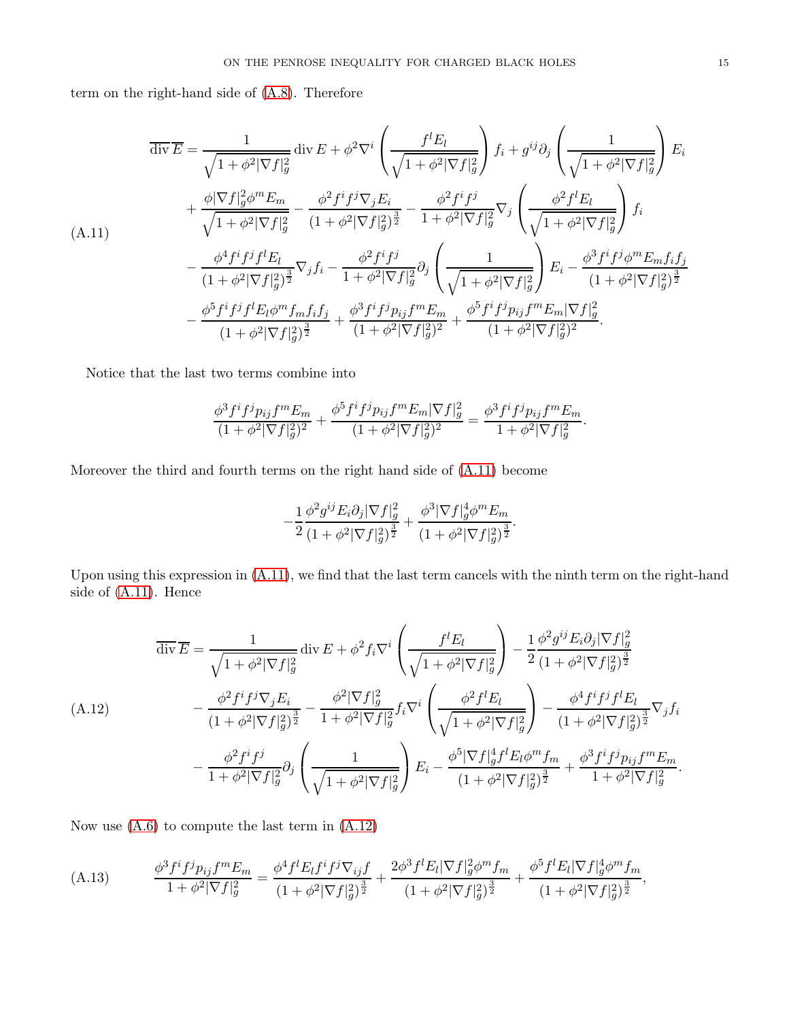term on the right-hand side of [\(A.8\)](#page-13-0). Therefore

<span id="page-14-0"></span>
$$
\overline{\text{div}\,E} = \frac{1}{\sqrt{1 + \phi^2 |\nabla f|_g^2}} \operatorname{div} E + \phi^2 \nabla^i \left( \frac{f^l E_l}{\sqrt{1 + \phi^2 |\nabla f|_g^2}} \right) f_i + g^{ij} \partial_j \left( \frac{1}{\sqrt{1 + \phi^2 |\nabla f|_g^2}} \right) E_i
$$
\n
$$
+ \frac{\phi |\nabla f|_g^2 \phi^m E_m}{\sqrt{1 + \phi^2 |\nabla f|_g^2}} - \frac{\phi^2 f^i f^j \nabla_j E_i}{(1 + \phi^2 |\nabla f|_g^2)^{\frac{3}{2}}} - \frac{\phi^2 f^i f^j}{1 + \phi^2 |\nabla f|_g^2} \nabla_j \left( \frac{\phi^2 f^l E_l}{\sqrt{1 + \phi^2 |\nabla f|_g^2}} \right) f_i
$$
\n
$$
- \frac{\phi^4 f^i f^j f^l E_l}{(1 + \phi^2 |\nabla f|_g^2)^{\frac{3}{2}}} \nabla_j f_i - \frac{\phi^2 f^i f^j}{1 + \phi^2 |\nabla f|_g^2} \partial_j \left( \frac{1}{\sqrt{1 + \phi^2 |\nabla f|_g^2}} \right) E_i - \frac{\phi^3 f^i f^j \phi^m E_m f_i f_j}{(1 + \phi^2 |\nabla f|_g^2)^{\frac{3}{2}}} - \frac{\phi^5 f^i f^j f^l E_l \phi^m f_m f_i f_j}{(1 + \phi^2 |\nabla f|_g^2)^{\frac{3}{2}}} + \frac{\phi^3 f^i f^j p_{ij} f^m E_m}{(1 + \phi^2 |\nabla f|_g^2)^2} + \frac{\phi^5 f^i f^j p_{ij} f^m E_m |\nabla f|_g^2}{(1 + \phi^2 |\nabla f|_g^2)^2}.
$$

Notice that the last two terms combine into

$$
\frac{\phi^3 f^i f^j p_{ij} f^m E_m}{(1+\phi^2|\nabla f|_g^2)^2} + \frac{\phi^5 f^i f^j p_{ij} f^m E_m |\nabla f|_g^2}{(1+\phi^2|\nabla f|_g^2)^2} = \frac{\phi^3 f^i f^j p_{ij} f^m E_m}{1+\phi^2 |\nabla f|_g^2}.
$$

Moreover the third and fourth terms on the right hand side of [\(A.11\)](#page-14-0) become

$$
-\frac{1}{2}\frac{\phi^2 g^{ij}E_i\partial_j|\nabla f|_g^2}{(1+\phi^2|\nabla f|_g^2)^{\frac{3}{2}}}+\frac{\phi^3|\nabla f|_g^4\phi^mE_m}{(1+\phi^2|\nabla f|_g^2)^{\frac{3}{2}}}.
$$

Upon using this expression in [\(A.11\)](#page-14-0), we find that the last term cancels with the ninth term on the right-hand side of [\(A.11\)](#page-14-0). Hence

<span id="page-14-1"></span>
$$
\overline{\text{div}\,E} = \frac{1}{\sqrt{1 + \phi^2 |\nabla f|_g^2}} \operatorname{div} E + \phi^2 f_i \nabla^i \left( \frac{f^l E_l}{\sqrt{1 + \phi^2 |\nabla f|_g^2}} \right) - \frac{1}{2} \frac{\phi^2 g^{ij} E_i \partial_j |\nabla f|_g^2}{(1 + \phi^2 |\nabla f|_g^2)^{\frac{3}{2}}} \n(A.12) \qquad - \frac{\phi^2 f^i f^j \nabla_j E_i}{(1 + \phi^2 |\nabla f|_g^2)^{\frac{3}{2}}} - \frac{\phi^2 |\nabla f|_g^2}{1 + \phi^2 |\nabla f|_g^2} f_i \nabla^i \left( \frac{\phi^2 f^l E_l}{\sqrt{1 + \phi^2 |\nabla f|_g^2}} \right) - \frac{\phi^4 f^i f^j f^l E_l}{(1 + \phi^2 |\nabla f|_g^2)^{\frac{3}{2}}} \nabla_j f_i \n- \frac{\phi^2 f^i f^j}{1 + \phi^2 |\nabla f|_g^2} \partial_j \left( \frac{1}{\sqrt{1 + \phi^2 |\nabla f|_g^2}} \right) E_i - \frac{\phi^5 |\nabla f|_g^4 f^l E_l \phi^m f_m}{(1 + \phi^2 |\nabla f|_g^2)^{\frac{3}{2}}} + \frac{\phi^3 f^i f^j p_{ij} f^m E_m}{1 + \phi^2 |\nabla f|_g^2}.
$$

Now use  $(A.6)$  to compute the last term in  $(A.12)$ 

<span id="page-14-2"></span>
$$
(A.13) \qquad \frac{\phi^3 f^i f^j p_{ij} f^m E_m}{1 + \phi^2 |\nabla f|_g^2} = \frac{\phi^4 f^l E_l f^i f^j \nabla_{ij} f}{(1 + \phi^2 |\nabla f|_g^2)^{\frac{3}{2}}} + \frac{2\phi^3 f^l E_l |\nabla f|_g^2 \phi^m f_m}{(1 + \phi^2 |\nabla f|_g^2)^{\frac{3}{2}}} + \frac{\phi^5 f^l E_l |\nabla f|_g^4 \phi^m f_m}{(1 + \phi^2 |\nabla f|_g^2)^{\frac{3}{2}}},
$$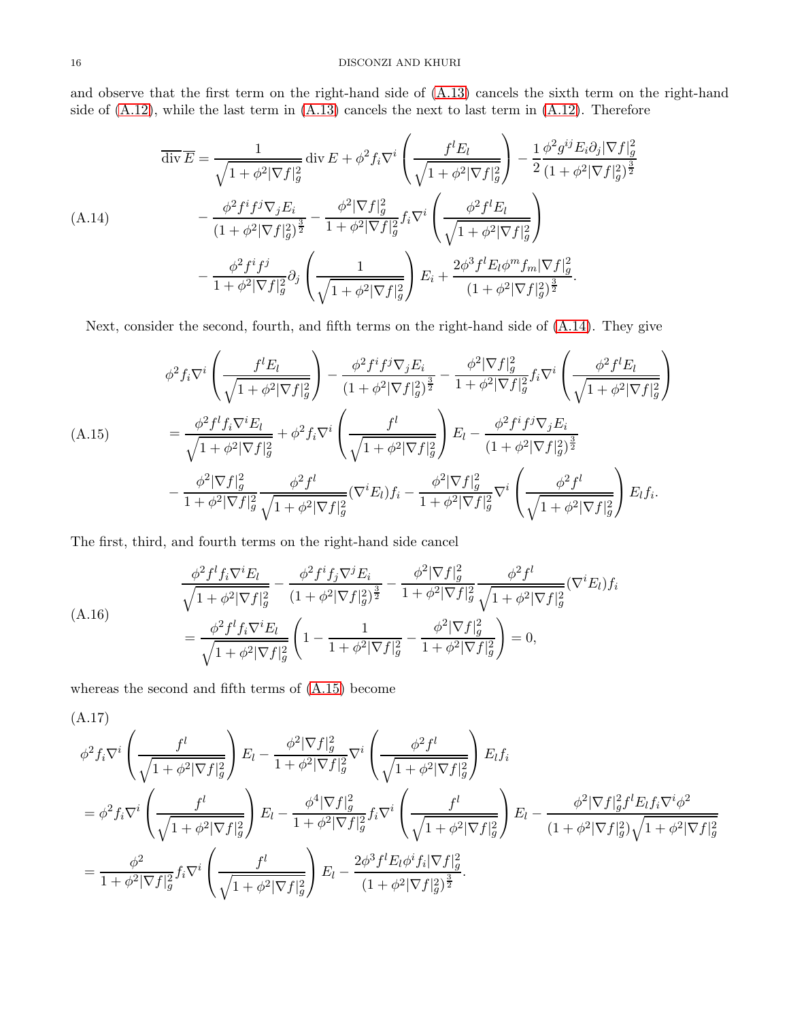and observe that the first term on the right-hand side of [\(A.13\)](#page-14-2) cancels the sixth term on the right-hand side of  $(A.12)$ , while the last term in  $(A.13)$  cancels the next to last term in  $(A.12)$ . Therefore

<span id="page-15-0"></span>
$$
\overline{\text{div}\,E} = \frac{1}{\sqrt{1 + \phi^2 |\nabla f|_g^2}} \text{div}\,E + \phi^2 f_i \nabla^i \left( \frac{f^l E_l}{\sqrt{1 + \phi^2 |\nabla f|_g^2}} \right) - \frac{1}{2} \frac{\phi^2 g^{ij} E_i \partial_j |\nabla f|_g^2}{(1 + \phi^2 |\nabla f|_g^2)^{\frac{3}{2}}} \n(A.14) \qquad - \frac{\phi^2 f^i f^j \nabla_j E_i}{(1 + \phi^2 |\nabla f|_g^2)^{\frac{3}{2}}} - \frac{\phi^2 |\nabla f|_g^2}{1 + \phi^2 |\nabla f|_g^2} f_i \nabla^i \left( \frac{\phi^2 f^l E_l}{\sqrt{1 + \phi^2 |\nabla f|_g^2}} \right) \n- \frac{\phi^2 f^i f^j}{1 + \phi^2 |\nabla f|_g^2} \partial_j \left( \frac{1}{\sqrt{1 + \phi^2 |\nabla f|_g^2}} \right) E_i + \frac{2\phi^3 f^l E_l \phi^m f_m |\nabla f|_g^2}{(1 + \phi^2 |\nabla f|_g^2)^{\frac{3}{2}}}.
$$

Next, consider the second, fourth, and fifth terms on the right-hand side of [\(A.14\)](#page-15-0). They give

<span id="page-15-1"></span>
$$
\phi^{2} f_{i} \nabla^{i} \left( \frac{f^{l} E_{l}}{\sqrt{1 + \phi^{2} |\nabla f|_{g}^{2}}} \right) - \frac{\phi^{2} f^{i} f^{j} \nabla_{j} E_{i}}{(1 + \phi^{2} |\nabla f|_{g}^{2})^{\frac{3}{2}}} - \frac{\phi^{2} |\nabla f|_{g}^{2}}{1 + \phi^{2} |\nabla f|_{g}^{2}} f_{i} \nabla^{i} \left( \frac{\phi^{2} f^{l} E_{l}}{\sqrt{1 + \phi^{2} |\nabla f|_{g}^{2}}} \right)
$$
\n(A.15)\n
$$
= \frac{\phi^{2} f^{l} f_{i} \nabla^{i} E_{l}}{\sqrt{1 + \phi^{2} |\nabla f|_{g}^{2}}} + \phi^{2} f_{i} \nabla^{i} \left( \frac{f^{l}}{\sqrt{1 + \phi^{2} |\nabla f|_{g}^{2}}} \right) E_{l} - \frac{\phi^{2} f^{i} f^{j} \nabla_{j} E_{i}}{(1 + \phi^{2} |\nabla f|_{g}^{2})^{\frac{3}{2}}}
$$
\n
$$
- \frac{\phi^{2} |\nabla f|_{g}^{2}}{1 + \phi^{2} |\nabla f|_{g}^{2}} \frac{\phi^{2} f^{l}}{\sqrt{1 + \phi^{2} |\nabla f|_{g}^{2}}} (\nabla^{i} E_{l}) f_{i} - \frac{\phi^{2} |\nabla f|_{g}^{2}}{1 + \phi^{2} |\nabla f|_{g}^{2}} \nabla^{i} \left( \frac{\phi^{2} f^{l}}{\sqrt{1 + \phi^{2} |\nabla f|_{g}^{2}}} \right) E_{l} f_{i}.
$$

The first, third, and fourth terms on the right-hand side cancel

<span id="page-15-2"></span>
$$
\frac{\phi^2 f^l f_i \nabla^i E_l}{\sqrt{1 + \phi^2 |\nabla f|_g^2}} - \frac{\phi^2 f^i f_j \nabla^j E_i}{(1 + \phi^2 |\nabla f|_g^2)^{\frac{3}{2}}} - \frac{\phi^2 |\nabla f|_g^2}{1 + \phi^2 |\nabla f|_g^2} \frac{\phi^2 f^l}{\sqrt{1 + \phi^2 |\nabla f|_g^2}} (\nabla^i E_l) f_i
$$
\n
$$
= \frac{\phi^2 f^l f_i \nabla^i E_l}{\sqrt{1 + \phi^2 |\nabla f|_g^2}} \left(1 - \frac{1}{1 + \phi^2 |\nabla f|_g^2} - \frac{\phi^2 |\nabla f|_g^2}{1 + \phi^2 |\nabla f|_g^2}\right) = 0,
$$

whereas the second and fifth terms of [\(A.15\)](#page-15-1) become

<span id="page-15-3"></span>
$$
(A.17)
$$
\n
$$
\phi^{2} f_{i} \nabla^{i} \left( \frac{f^{l}}{\sqrt{1 + \phi^{2} |\nabla f|_{g}^{2}}} \right) E_{l} - \frac{\phi^{2} |\nabla f|_{g}^{2}}{1 + \phi^{2} |\nabla f|_{g}^{2}} \nabla^{i} \left( \frac{\phi^{2} f^{l}}{\sqrt{1 + \phi^{2} |\nabla f|_{g}^{2}}} \right) E_{l} f_{i}
$$
\n
$$
= \phi^{2} f_{i} \nabla^{i} \left( \frac{f^{l}}{\sqrt{1 + \phi^{2} |\nabla f|_{g}^{2}}} \right) E_{l} - \frac{\phi^{4} |\nabla f|_{g}^{2}}{1 + \phi^{2} |\nabla f|_{g}^{2}} f_{i} \nabla^{i} \left( \frac{f^{l}}{\sqrt{1 + \phi^{2} |\nabla f|_{g}^{2}}} \right) E_{l} - \frac{\phi^{2} |\nabla f|_{g}^{2} f^{l} E_{l} f_{i} \nabla^{i} \phi^{2}}{(1 + \phi^{2} |\nabla f|_{g}^{2}) \sqrt{1 + \phi^{2} |\nabla f|_{g}^{2}}}
$$
\n
$$
= \frac{\phi^{2}}{1 + \phi^{2} |\nabla f|_{g}^{2}} f_{i} \nabla^{i} \left( \frac{f^{l}}{\sqrt{1 + \phi^{2} |\nabla f|_{g}^{2}}} \right) E_{l} - \frac{2\phi^{3} f^{l} E_{l} \phi^{i} f_{i} |\nabla f|_{g}^{2}}{(1 + \phi^{2} |\nabla f|_{g}^{2})^{\frac{3}{2}}}.
$$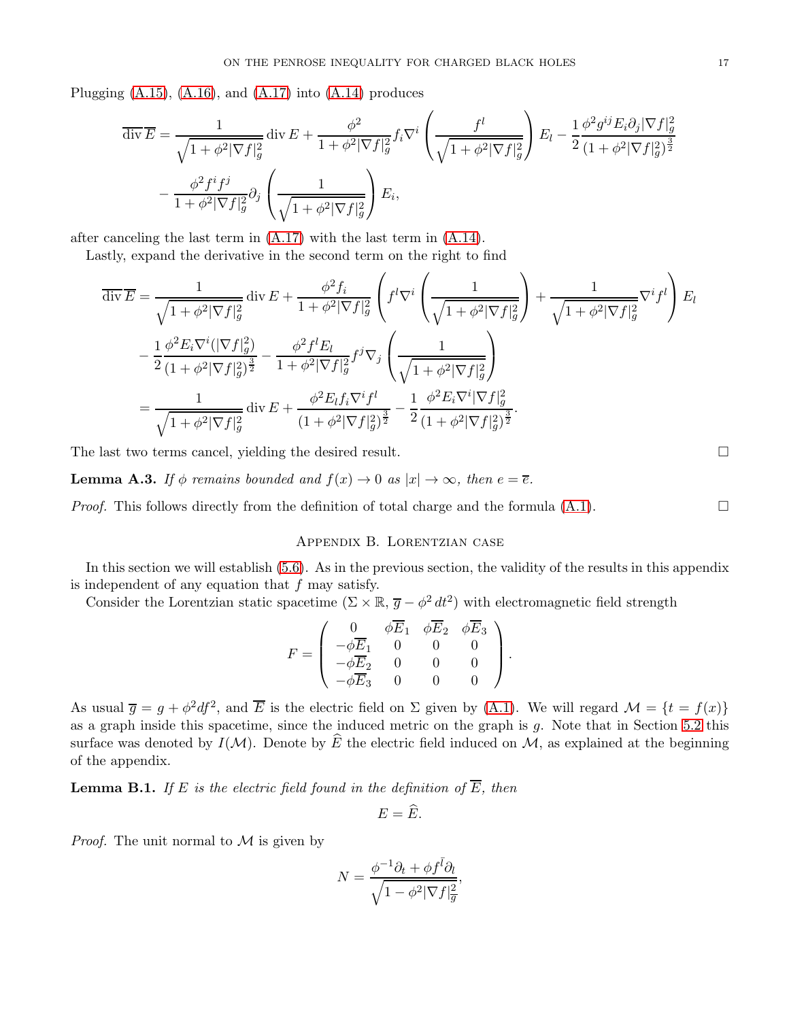Plugging  $(A.15)$ ,  $(A.16)$ , and  $(A.17)$  into  $(A.14)$  produces

$$
\overline{\text{div}}\overline{E} = \frac{1}{\sqrt{1+\phi^2|\nabla f|_g^2}} \operatorname{div} E + \frac{\phi^2}{1+\phi^2|\nabla f|_g^2} f_i \nabla^i \left(\frac{f^l}{\sqrt{1+\phi^2|\nabla f|_g^2}}\right) E_l - \frac{1}{2} \frac{\phi^2 g^{ij} E_i \partial_j |\nabla f|_g^2}{(1+\phi^2|\nabla f|_g^2)^{\frac{3}{2}}} -\frac{\phi^2 f^i f^j}{1+\phi^2|\nabla f|_g^2} \partial_j \left(\frac{1}{\sqrt{1+\phi^2|\nabla f|_g^2}}\right) E_i,
$$

after canceling the last term in [\(A.17\)](#page-15-3) with the last term in [\(A.14\)](#page-15-0).

Lastly, expand the derivative in the second term on the right to find

$$
\overline{\text{div}}\overline{E} = \frac{1}{\sqrt{1 + \phi^2 |\nabla f|_g^2}} \text{div}\, E + \frac{\phi^2 f_i}{1 + \phi^2 |\nabla f|_g^2} \left( f^l \nabla^i \left( \frac{1}{\sqrt{1 + \phi^2 |\nabla f|_g^2}} \right) + \frac{1}{\sqrt{1 + \phi^2 |\nabla f|_g^2}} \nabla^i f^l \right) E_l
$$
  
\n
$$
- \frac{1}{2} \frac{\phi^2 E_i \nabla^i (|\nabla f|_g^2)}{(1 + \phi^2 |\nabla f|_g^2)^{\frac{3}{2}}} - \frac{\phi^2 f^l E_l}{1 + \phi^2 |\nabla f|_g^2} f^j \nabla_j \left( \frac{1}{\sqrt{1 + \phi^2 |\nabla f|_g^2}} \right)
$$
  
\n
$$
= \frac{1}{\sqrt{1 + \phi^2 |\nabla f|_g^2}} \text{div}\, E + \frac{\phi^2 E_l f_i \nabla^i f^l}{(1 + \phi^2 |\nabla f|_g^2)^{\frac{3}{2}}} - \frac{1}{2} \frac{\phi^2 E_i \nabla^i |\nabla f|_g^2}{(1 + \phi^2 |\nabla f|_g^2)^{\frac{3}{2}}}.
$$

The last two terms cancel, yielding the desired result.

**Lemma A.3.** If  $\phi$  remains bounded and  $f(x) \to 0$  as  $|x| \to \infty$ , then  $e = \overline{e}$ .

<span id="page-16-0"></span>*Proof.* This follows directly from the definition of total charge and the formula  $(A.1)$ .

# Appendix B. Lorentzian case

In this section we will establish [\(5.6\)](#page-9-2). As in the previous section, the validity of the results in this appendix is independent of any equation that  $f$  may satisfy.

Consider the Lorentzian static spacetime  $(\Sigma \times \mathbb{R}, \overline{g} - \phi^2 dt^2)$  with electromagnetic field strength

$$
F = \begin{pmatrix} 0 & \phi \overline{E}_1 & \phi \overline{E}_2 & \phi \overline{E}_3 \\ -\phi \overline{E}_1 & 0 & 0 & 0 \\ -\phi \overline{E}_2 & 0 & 0 & 0 \\ -\phi \overline{E}_3 & 0 & 0 & 0 \end{pmatrix}.
$$

As usual  $\overline{g} = g + \phi^2 df^2$ , and  $\overline{E}$  is the electric field on  $\Sigma$  given by [\(A.1\)](#page-9-3). We will regard  $\mathcal{M} = \{t = f(x)\}\$ as a graph inside this spacetime, since the induced metric on the graph is  $g$ . Note that in Section [5.2](#page-8-0) this surface was denoted by  $I(\mathcal{M})$ . Denote by  $\widehat{E}$  the electric field induced on  $\mathcal{M}$ , as explained at the beginning of the appendix.

**Lemma B.1.** If E is the electric field found in the definition of  $\overline{E}$ , then

$$
E=\widehat{E}.
$$

*Proof.* The unit normal to  $M$  is given by

$$
N = \frac{\phi^{-1}\partial_t + \phi f^{\bar{l}}\partial_l}{\sqrt{1 - \phi^2 |\nabla f|_{\overline{g}}^2}},
$$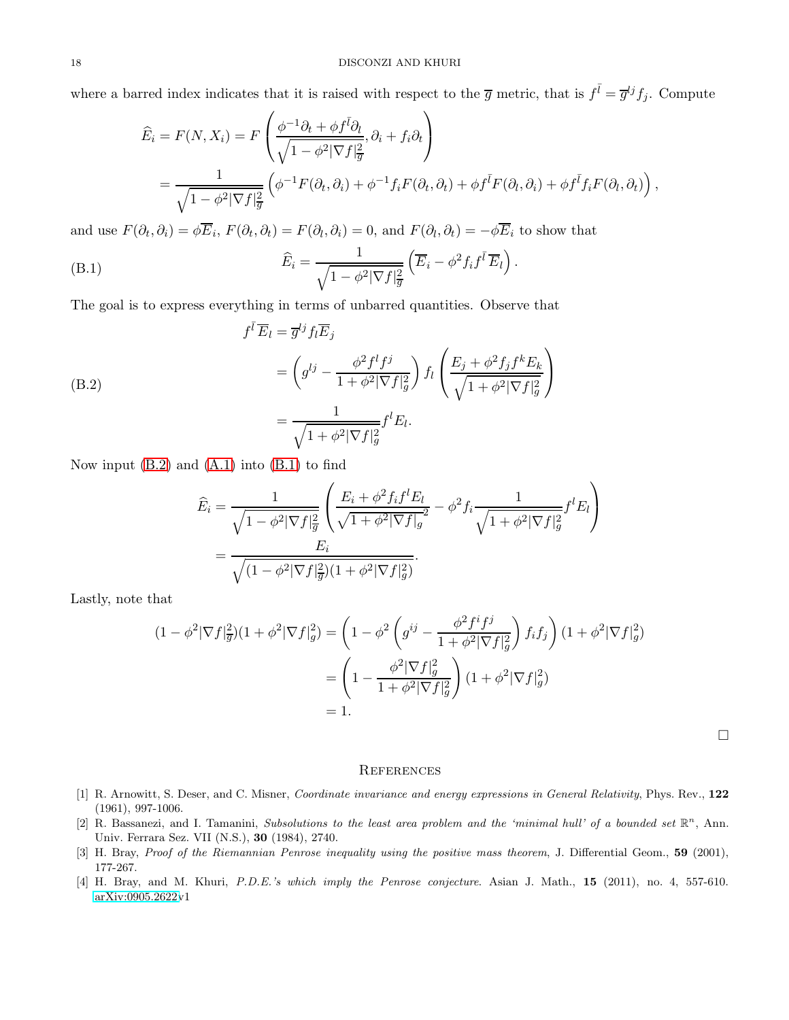where a barred index indicates that it is raised with respect to the  $\overline{g}$  metric, that is  $f^{\overline{l}} = \overline{g}^{lj} f_j$ . Compute

$$
\widehat{E}_i = F(N, X_i) = F\left(\frac{\phi^{-1}\partial_t + \phi f^{\bar{l}}\partial_l}{\sqrt{1 - \phi^2 |\nabla f|_{\overline{g}}^2}}, \partial_i + f_i \partial_t\right)
$$
  
= 
$$
\frac{1}{\sqrt{1 - \phi^2 |\nabla f|_{\overline{g}}^2}} \left(\phi^{-1} F(\partial_t, \partial_i) + \phi^{-1} f_i F(\partial_t, \partial_t) + \phi f^{\bar{l}} F(\partial_l, \partial_i) + \phi f^{\bar{l}} f_i F(\partial_l, \partial_t)\right),
$$

and use  $F(\partial_t, \partial_i) = \phi E_i$ ,  $F(\partial_t, \partial_t) = F(\partial_t, \partial_i) = 0$ , and  $F(\partial_t, \partial_t) = -\phi E_i$  to show that

<span id="page-17-6"></span>(B.1) 
$$
\widehat{E}_i = \frac{1}{\sqrt{1 - \phi^2 |\nabla f|_{\overline{g}}^2}} \left( \overline{E}_i - \phi^2 f_i f^{\overline{t}} \overline{E}_l \right).
$$

The goal is to express everything in terms of unbarred quantities. Observe that

<span id="page-17-5"></span>(B.2)  
\n
$$
f^{\bar{l}}\overline{E}_l = \overline{g}^{lj} f_l \overline{E}_j
$$
\n
$$
= \left(g^{lj} - \frac{\phi^2 f^l f^j}{1 + \phi^2 |\nabla f|_g^2}\right) f_l \left(\frac{E_j + \phi^2 f_j f^k E_k}{\sqrt{1 + \phi^2 |\nabla f|_g^2}}\right)
$$
\n
$$
= \frac{1}{\sqrt{1 + \phi^2 |\nabla f|_g^2}} f^l E_l.
$$

Now input  $(B.2)$  and  $(A.1)$  into  $(B.1)$  to find

$$
\widehat{E}_i = \frac{1}{\sqrt{1 - \phi^2 |\nabla f|_{\overline{g}}^2}} \left( \frac{E_i + \phi^2 f_i f^l E_l}{\sqrt{1 + \phi^2 |\nabla f|_{g}^2}} - \phi^2 f_i \frac{1}{\sqrt{1 + \phi^2 |\nabla f|_{g}^2}} f^l E_l \right)
$$
\n
$$
= \frac{E_i}{\sqrt{(1 - \phi^2 |\nabla f|_{\overline{g}}^2)(1 + \phi^2 |\nabla f|_{g}^2)}}.
$$

Lastly, note that

$$
(1 - \phi^2 |\nabla f|_{\overline{g}}^2)(1 + \phi^2 |\nabla f|_{g}^2) = \left(1 - \phi^2 \left(g^{ij} - \frac{\phi^2 f^i f^j}{1 + \phi^2 |\nabla f|_{g}^2}\right) f_i f_j\right) (1 + \phi^2 |\nabla f|_{g}^2)
$$
  
= 
$$
\left(1 - \frac{\phi^2 |\nabla f|_{g}^2}{1 + \phi^2 |\nabla f|_{g}^2}\right) (1 + \phi^2 |\nabla f|_{g}^2)
$$
  
= 1.

 $\hfill \square$ 

#### <span id="page-17-1"></span>**REFERENCES**

- <span id="page-17-2"></span>[1] R. Arnowitt, S. Deser, and C. Misner, *Coordinate invariance and energy expressions in General Relativity*, Phys. Rev., 122 (1961), 997-1006.
- <span id="page-17-4"></span>[2] R. Bassanezi, and I. Tamanini, *Subsolutions to the least area problem and the 'minimal hull' of a bounded set*  $\mathbb{R}^n$ , Ann. Univ. Ferrara Sez. VII (N.S.), 30 (1984), 2740.
- <span id="page-17-3"></span><span id="page-17-0"></span>[3] H. Bray, *Proof of the Riemannian Penrose inequality using the positive mass theorem*, J. Differential Geom., 59 (2001), 177-267.
- [4] H. Bray, and M. Khuri, *P.D.E.'s which imply the Penrose conjecture*. Asian J. Math., 15 (2011), no. 4, 557-610. [arXiv:0905.2622v](http://arxiv.org/abs/0905.2622)1